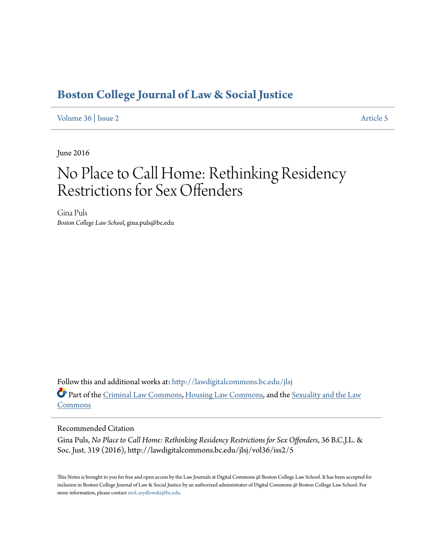# **[Boston College Journal of Law & Social Justice](http://lawdigitalcommons.bc.edu/jlsj?utm_source=lawdigitalcommons.bc.edu%2Fjlsj%2Fvol36%2Fiss2%2F5&utm_medium=PDF&utm_campaign=PDFCoverPages)**

[Volume 36](http://lawdigitalcommons.bc.edu/jlsj/vol36?utm_source=lawdigitalcommons.bc.edu%2Fjlsj%2Fvol36%2Fiss2%2F5&utm_medium=PDF&utm_campaign=PDFCoverPages) | [Issue 2](http://lawdigitalcommons.bc.edu/jlsj/vol36/iss2?utm_source=lawdigitalcommons.bc.edu%2Fjlsj%2Fvol36%2Fiss2%2F5&utm_medium=PDF&utm_campaign=PDFCoverPages) [Article 5](http://lawdigitalcommons.bc.edu/jlsj/vol36/iss2/5?utm_source=lawdigitalcommons.bc.edu%2Fjlsj%2Fvol36%2Fiss2%2F5&utm_medium=PDF&utm_campaign=PDFCoverPages)

June 2016

# No Place to Call Home: Rethinking Residency Restrictions for Sex Offenders

Gina Puls *Boston College Law School*, gina.puls@bc.edu

Follow this and additional works at: [http://lawdigitalcommons.bc.edu/jlsj](http://lawdigitalcommons.bc.edu/jlsj?utm_source=lawdigitalcommons.bc.edu%2Fjlsj%2Fvol36%2Fiss2%2F5&utm_medium=PDF&utm_campaign=PDFCoverPages) Part of the [Criminal Law Commons](http://network.bepress.com/hgg/discipline/912?utm_source=lawdigitalcommons.bc.edu%2Fjlsj%2Fvol36%2Fiss2%2F5&utm_medium=PDF&utm_campaign=PDFCoverPages), [Housing Law Commons](http://network.bepress.com/hgg/discipline/846?utm_source=lawdigitalcommons.bc.edu%2Fjlsj%2Fvol36%2Fiss2%2F5&utm_medium=PDF&utm_campaign=PDFCoverPages), and the [Sexuality and the Law](http://network.bepress.com/hgg/discipline/877?utm_source=lawdigitalcommons.bc.edu%2Fjlsj%2Fvol36%2Fiss2%2F5&utm_medium=PDF&utm_campaign=PDFCoverPages) [Commons](http://network.bepress.com/hgg/discipline/877?utm_source=lawdigitalcommons.bc.edu%2Fjlsj%2Fvol36%2Fiss2%2F5&utm_medium=PDF&utm_campaign=PDFCoverPages)

# Recommended Citation

Gina Puls, *No Place to Call Home: Rethinking Residency Restrictions for Sex Offenders*, 36 B.C.J.L. & Soc. Just. 319 (2016), http://lawdigitalcommons.bc.edu/jlsj/vol36/iss2/5

This Notes is brought to you for free and open access by the Law Journals at Digital Commons @ Boston College Law School. It has been accepted for inclusion in Boston College Journal of Law & Social Justice by an authorized administrator of Digital Commons @ Boston College Law School. For more information, please contact [nick.szydlowski@bc.edu.](mailto:nick.szydlowski@bc.edu)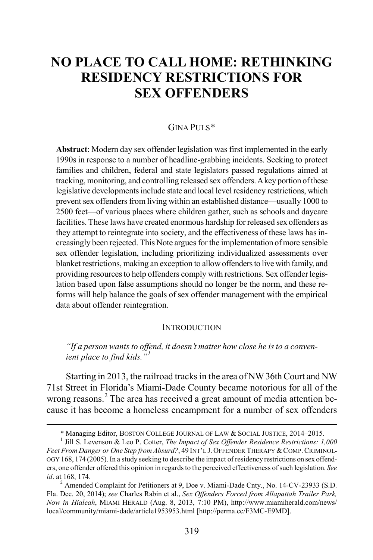# **NO PLACE TO CALL HOME: RETHINKING RESIDENCY RESTRICTIONS FOR SEX OFFENDERS**

#### GINA PULS[\\*](#page-1-0)

**Abstract**: Modern day sex offender legislation was first implemented in the early 1990s in response to a number of headline-grabbing incidents. Seeking to protect families and children, federal and state legislators passed regulations aimed at tracking, monitoring, and controlling released sex offenders.A key portion of these legislative developments include state and local level residency restrictions, which prevent sex offenders from living within an established distance—usually 1000 to 2500 feet—of various places where children gather, such as schools and daycare facilities. These laws have created enormous hardship for released sex offenders as they attempt to reintegrate into society, and the effectiveness of these laws has increasingly been rejected. This Note argues for the implementation of more sensible sex offender legislation, including prioritizing individualized assessments over blanket restrictions, making an exception to allow offenders to live with family, and providing resources to help offenders comply with restrictions. Sex offender legislation based upon false assumptions should no longer be the norm, and these reforms will help balance the goals of sex offender management with the empirical data about offender reintegration.

#### **INTRODUCTION**

#### *"If a person wants to offend, it doesn't matter how close he is to a convenient place to find kids."[1](#page-1-1)*

Starting in 2013, the railroad tracks in the area of NW 36th Court and NW 71st Street in Florida's Miami-Dade County became notorious for all of the wrong reasons.<sup>[2](#page-1-2)</sup> The area has received a great amount of media attention because it has become a homeless encampment for a number of sex offenders

 <sup>\*</sup> Managing Editor, BOSTON COLLEGE JOURNAL OF LAW & SOCIAL JUSTICE, 2014–2015. <sup>1</sup> Jill S. Levenson & Leo P. Cotter, *The Impact of Sex Offender Residence Restrictions: 1,000* 

<span id="page-1-1"></span><span id="page-1-0"></span>Feet From Danger or One Step from Absurd?, 49 INT'L J. OFFENDER THERAPY & COMP. CRIMINOL-OGY 168, 174 (2005).In a study seeking to describe the impact of residency restrictions on sex offenders, one offender offered this opinion in regards to the perceived effectiveness of such legislation. *See id*. at 168, 174.<br><sup>2</sup> Amended Complaint for Petitioners at 9, Doe v. Miami-Dade Cnty., No. 14-CV-23933 (S.D.

<span id="page-1-2"></span>Fla. Dec. 20, 2014); *see* Charles Rabin et al., *Sex Offenders Forced from Allapattah Trailer Park, Now in Hialeah*, MIAMI HERALD (Aug. 8, 2013, 7:10 PM), http://www.miamiherald.com/news/ local/community/miami-dade/article1953953.html [http://perma.cc/F3MC-E9MD].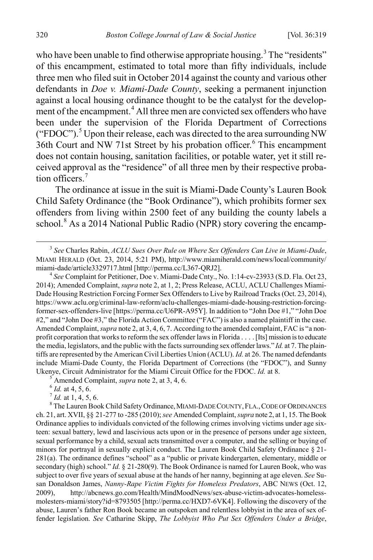who have been unable to find otherwise appropriate housing.<sup>[3](#page-2-0)</sup> The "residents" of this encampment, estimated to total more than fifty individuals, include three men who filed suit in October 2014 against the county and various other defendants in *Doe v. Miami-Dade County*, seeking a permanent injunction against a local housing ordinance thought to be the catalyst for the develop-ment of the encampment.<sup>[4](#page-2-1)</sup> All three men are convicted sex offenders who have been under the supervision of the Florida Department of Corrections ("FDOC").<sup>[5](#page-2-2)</sup> Upon their release, each was directed to the area surrounding NW 3[6](#page-2-3)th Court and NW 71st Street by his probation officer.<sup>6</sup> This encampment does not contain housing, sanitation facilities, or potable water, yet it still received approval as the "residence" of all three men by their respective probation officers<sup> $7$ </sup>

The ordinance at issue in the suit is Miami-Dade County's Lauren Book Child Safety Ordinance (the "Book Ordinance"), which prohibits former sex offenders from living within 2500 feet of any building the county labels a school.<sup>[8](#page-2-5)</sup> As a 2014 National Public Radio (NPR) story covering the encamp-

<span id="page-2-1"></span>2014); Amended Complaint, *supra* note 2, at 1, 2; Press Release, ACLU, ACLU Challenges Miami-Dade Housing Restriction Forcing Former Sex Offenders to Live by Railroad Tracks (Oct. 23, 2014), https://www.aclu.org/criminal-law-reform/aclu-challenges-miami-dade-housing-restriction-forcingformer-sex-offenders-live [https://perma.cc/U6PR-A95Y]. In addition to "John Doe #1," "John Doe #2," and "John Doe #3," the Florida Action Committee ("FAC") is also a named plaintiff in the case. Amended Complaint, *supra* note 2, at 3, 4, 6, 7. According to the amended complaint, FAC is "a nonprofit corporation that works to reform the sex offender laws in Florida . . . . [Its] mission is to educate the media, legislators, and the public with the facts surrounding sex offender laws." *Id.* at 7. The plaintiffs are represented by the American Civil Liberties Union (ACLU). *Id.* at 26. The named defendants include Miami-Dade County, the Florida Department of Corrections (the "FDOC"), and Sunny Ukenye, Circuit Administrator for the Miami Circuit Office for the FDOC. *Id.* at 8.<br>
<sup>5</sup> Amended Complaint, *supra* note 2, at 3, 4, 6.<br>
<sup>6</sup> *Id.* at 4, 5, 6.<br>
<sup>7</sup> *Id.* at 1, 4, 5, 6.<br>
<sup>8</sup> The Lauren Book Child Safety O

<span id="page-2-5"></span><span id="page-2-4"></span><span id="page-2-3"></span><span id="page-2-2"></span>ch. 21, art. XVII, §§ 21-277 to -285 (2010); *see* Amended Complaint, *supra* note 2, at 1, 15. The Book Ordinance applies to individuals convicted of the following crimes involving victims under age sixteen: sexual battery, lewd and lascivious acts upon or in the presence of persons under age sixteen, sexual performance by a child, sexual acts transmitted over a computer, and the selling or buying of minors for portrayal in sexually explicit conduct. The Lauren Book Child Safety Ordinance § 21- 281(a). The ordinance defines "school" as a "public or private kindergarten, elementary, middle or secondary (high) school." *Id.* § 21-280(9). The Book Ordinance is named for Lauren Book, who was subject to over five years of sexual abuse at the hands of her nanny, beginning at age eleven. *See* Susan Donaldson James, *Nanny-Rape Victim Fights for Homeless Predators*, ABC NEWS (Oct. 12, 2009), http://abcnews.go.com/Health/MindMoodNews/sex-abuse-victim-advocates-homelessmolesters-miami/story?id=8793505 [http://perma.cc/HXD7-6VK4]. Following the discovery of the abuse, Lauren's father Ron Book became an outspoken and relentless lobbyist in the area of sex offender legislation. *See* Catharine Skipp, *The Lobbyist Who Put Sex Offenders Under a Bridge*,

<span id="page-2-0"></span> <sup>3</sup> *See* Charles Rabin, *ACLU Sues Over Rule on Where Sex Offenders Can Live in Miami-Dade*, MIAMI HERALD (Oct. 23, 2014, 5:21 PM), http://www.miamiherald.com/news/local/community/ miami-dade/article3329717.html [http://perma.cc/L367-QRJ2]. <sup>4</sup> *See* Complaint for Petitioner, Doe v. Miami-Dade Cnty., No. 1:14-cv-23933 (S.D. Fla. Oct 23,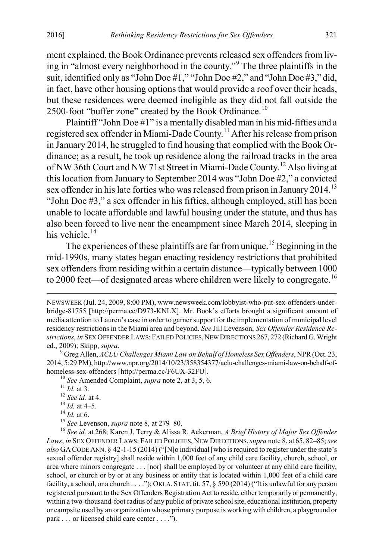ment explained, the Book Ordinance prevents released sex offenders from living in "almost every neighborhood in the county."[9](#page-3-0) The three plaintiffs in the suit, identified only as "John Doe #1," "John Doe #2," and "John Doe #3," did, in fact, have other housing options that would provide a roof over their heads, but these residences were deemed ineligible as they did not fall outside the 2500-foot "buffer zone" created by the Book Ordinance.<sup>[10](#page-3-1)</sup>

Plaintiff "John Doe #1" is a mentally disabled man in his mid-fifties and a registered sex offender in Miami-Dade County.[11](#page-3-2) After his release from prison in January 2014, he struggled to find housing that complied with the Book Ordinance; as a result, he took up residence along the railroad tracks in the area of NW 36th Court and NW 71st Street in Miami-Dade County.[12](#page-3-3) Also living at this location from January to September 2014 was "John Doe #2," a convicted sex offender in his late forties who was released from prison in January 2014.<sup>[13](#page-3-4)</sup> "John Doe #3," a sex offender in his fifties, although employed, still has been unable to locate affordable and lawful housing under the statute, and thus has also been forced to live near the encampment since March 2014, sleeping in his vehicle.<sup>[14](#page-3-5)</sup>

The experiences of these plaintiffs are far from unique.<sup>[15](#page-3-6)</sup> Beginning in the mid-1990s, many states began enacting residency restrictions that prohibited sex offenders from residing within a certain distance—typically between 1000 to 2000 feet—of designated areas where children were likely to congregate.<sup>[16](#page-3-7)</sup>

NEWSWEEK (Jul. 24, 2009, 8:00 PM), www.newsweek.com/lobbyist-who-put-sex-offenders-underbridge-81755 [http://perma.cc/D973-KNLX]. Mr. Book's efforts brought a significant amount of media attention to Lauren's case in order to garner support for the implementation of municipal level residency restrictions in the Miami area and beyond. *See* Jill Levenson, *Sex Offender Residence Restrictions*, *in* SEX OFFENDER LAWS: FAILED POLICIES,NEW DIRECTIONS 267, 272 (Richard G. Wright ed., 2009); Skipp, *supra*. 9 Greg Allen, *ACLU Challenges Miami Law on Behalf of Homeless Sex Offenders*, NPR (Oct. 23,

<span id="page-3-0"></span><sup>2014, 5:29</sup> PM), http://www.npr.org/2014/10/23/358354377/aclu-challenges-miami-law-on-behalf-of-

<span id="page-3-5"></span>

<span id="page-3-7"></span><span id="page-3-6"></span>

<span id="page-3-4"></span><span id="page-3-3"></span><span id="page-3-2"></span><span id="page-3-1"></span>homeless-sex-offenders [http://perma.cc/F6UX-32FU].<br>
<sup>10</sup> See Amended Complaint, *supra* note 2, at 3, 5, 6.<br>
<sup>11</sup> Id. at 3.<br>
<sup>12</sup> See id. at 4.<br>
<sup>13</sup> Id. at 4–5.<br>
<sup>14</sup> Id. at 6.<br>
<sup>15</sup> See Levenson, *supra* note 8, at 279 *Laws*, *in* SEX OFFENDER LAWS: FAILED POLICIES, NEW DIRECTIONS,*supra* note 8, at 65, 82–85; *see also* GA CODE ANN. § 42-1-15 (2014) ("[N]o individual [who is required to register under the state's sexual offender registry] shall reside within 1,000 feet of any child care facility, church, school, or area where minors congregate . . . [nor] shall be employed by or volunteer at any child care facility, school, or church or by or at any business or entity that is located within 1,000 feet of a child care facility, a school, or a church . . . ."); OKLA. STAT. tit. 57, § 590 (2014) ("It is unlawful for any person registered pursuant to the Sex Offenders Registration Act to reside, either temporarily or permanently, within a two-thousand-foot radius of any public of private school site, educational institution, property or campsite used by an organization whose primary purpose is working with children, a playground or park . . . or licensed child care center . . . .").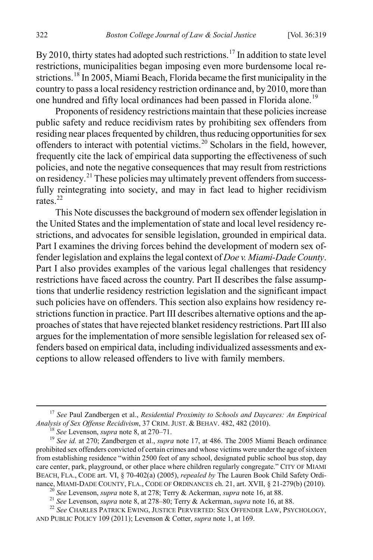By 2010, thirty states had adopted such restrictions.<sup>[17](#page-4-0)</sup> In addition to state level restrictions, municipalities began imposing even more burdensome local re-strictions.<sup>[18](#page-4-1)</sup> In 2005, Miami Beach, Florida became the first municipality in the country to pass a local residency restriction ordinance and, by 2010, more than one hundred and fifty local ordinances had been passed in Florida alone.<sup>[19](#page-4-2)</sup>

Proponents of residency restrictions maintain that these policies increase public safety and reduce recidivism rates by prohibiting sex offenders from residing near places frequented by children, thus reducing opportunities for sex offenders to interact with potential victims.[20](#page-4-3) Scholars in the field, however, frequently cite the lack of empirical data supporting the effectiveness of such policies, and note the negative consequences that may result from restrictions on residency.<sup>[21](#page-4-4)</sup> These policies may ultimately prevent offenders from successfully reintegrating into society, and may in fact lead to higher recidivism rates. [22](#page-4-5)

This Note discusses the background of modern sex offender legislation in the United States and the implementation of state and local level residency restrictions, and advocates for sensible legislation, grounded in empirical data. Part I examines the driving forces behind the development of modern sex offender legislation and explains the legal context of *Doe v. Miami-Dade County*. Part I also provides examples of the various legal challenges that residency restrictions have faced across the country. Part II describes the false assumptions that underlie residency restriction legislation and the significant impact such policies have on offenders. This section also explains how residency restrictions function in practice. Part III describes alternative options and the approaches of states that have rejected blanket residency restrictions. Part III also argues for the implementation of more sensible legislation for released sex offenders based on empirical data, including individualized assessments and exceptions to allow released offenders to live with family members.

<span id="page-4-0"></span><sup>&</sup>lt;sup>17</sup> *See Paul Zandbergen et al., <i>Residential Proximity to Schools and Daycares: An Empirical Analysis of Sex Offense Recidivism, 37 CRIM. JUST. & BEHAV. 482, 482 (2010).* 

<span id="page-4-2"></span><span id="page-4-1"></span><sup>&</sup>lt;sup>18</sup> See Levenson, *supra* note 8, at 270–71.<br><sup>19</sup> See id. at 270; Zandbergen et al., *supra* note 17, at 486. The 2005 Miami Beach ordinance prohibited sex offenders convicted of certain crimes and whose victims were under the age of sixteen from establishing residence "within 2500 feet of any school, designated public school bus stop, day care center, park, playground, or other place where children regularly congregate." CITY OF MIAMI BEACH, FLA., CODE art. VI, § 70-402(a) (2005), *repealed by* The Lauren Book Child Safety Ordi-

<span id="page-4-5"></span><span id="page-4-4"></span><span id="page-4-3"></span><sup>&</sup>lt;sup>20</sup> See Levenson, *supra* note 8, at 278; Terry & Ackerman, *supra* note 16, at 88.<br><sup>21</sup> See Levenson, *supra* note 8, at 278–80; Terry & Ackerman, *supra* note 16, at 88.<br><sup>22</sup> See CHARLES PATRICK EWING, JUSTICE PERVERTED AND PUBLIC POLICY 109 (2011); Levenson & Cotter, *supra* note 1, at 169.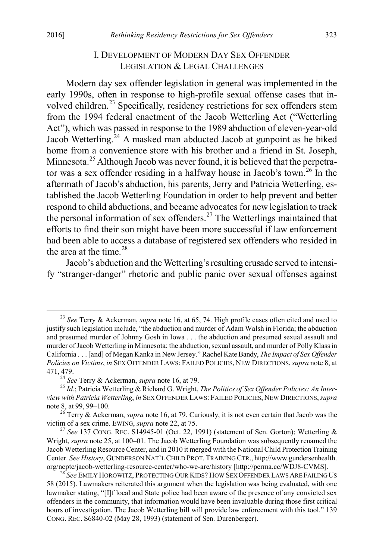# I. DEVELOPMENT OF MODERN DAY SEX OFFENDER LEGISLATION & LEGAL CHALLENGES

Modern day sex offender legislation in general was implemented in the early 1990s, often in response to high-profile sexual offense cases that in-volved children.<sup>[23](#page-5-0)</sup> Specifically, residency restrictions for sex offenders stem from the 1994 federal enactment of the Jacob Wetterling Act ("Wetterling Act"), which was passed in response to the 1989 abduction of eleven-year-old Jacob Wetterling.<sup>[24](#page-5-1)</sup> A masked man abducted Jacob at gunpoint as he biked home from a convenience store with his brother and a friend in St. Joseph, Minnesota.<sup>[25](#page-5-2)</sup> Although Jacob was never found, it is believed that the perpetra-tor was a sex offender residing in a halfway house in Jacob's town.<sup>[26](#page-5-3)</sup> In the aftermath of Jacob's abduction, his parents, Jerry and Patricia Wetterling, established the Jacob Wetterling Foundation in order to help prevent and better respond to child abductions, and became advocates for new legislation to track the personal information of sex offenders.<sup>[27](#page-5-4)</sup> The Wetterlings maintained that efforts to find their son might have been more successful if law enforcement had been able to access a database of registered sex offenders who resided in the area at the time. [28](#page-5-5)

Jacob's abduction and the Wetterling's resulting crusade served to intensify "stranger-danger" rhetoric and public panic over sexual offenses against

<span id="page-5-0"></span> <sup>23</sup> *See* Terry & Ackerman, *supra* note 16, at 65, 74. High profile cases often cited and used to justify such legislation include, "the abduction and murder of Adam Walsh in Florida; the abduction and presumed murder of Johnny Gosh in Iowa . . . the abduction and presumed sexual assault and murder of Jacob Wetterling in Minnesota; the abduction, sexual assault, and murder of Polly Klass in California . . . [and] of Megan Kanka in New Jersey." Rachel Kate Bandy, *The Impact of Sex Offender Policies on Victims*, *in* SEX OFFENDER LAWS: FAILED POLICIES, NEW DIRECTIONS,*supra* note 8, at 471, 479.<br> $^{24}$  See Terry & Ackerman, *supra* note 16, at 79.

<span id="page-5-2"></span><span id="page-5-1"></span><sup>&</sup>lt;sup>25</sup> *Id.*; Patricia Wetterling & Richard G. Wright, *The Politics of Sex Offender Policies: An Interview with Patricia Wetterling*, *in* SEX OFFENDER LAWS: FAILED POLICIES, NEW DIRECTIONS,*supra*

<span id="page-5-3"></span><sup>&</sup>lt;sup>26</sup> Terry & Ackerman, *supra* note 16, at 79. Curiously, it is not even certain that Jacob was the victim of a sex crime. EWING, *supra* note 22, at 75.

<span id="page-5-4"></span> $^{27}$  See 137 CONG. REC. S14945-01 (Oct. 22, 1991) (statement of Sen. Gorton); Wetterling  $\&$ Wright, *supra* note 25, at 100–01. The Jacob Wetterling Foundation was subsequently renamed the Jacob Wetterling Resource Center, and in 2010 it merged with the National Child Protection Training Center. *See History*, GUNDERSON NAT'L CHILD PROT. TRAINING CTR., http://www.gundersenhealth.<br>org/ncptc/jacob-wetterling-resource-center/who-we-are/history [http://perma.cc/WDJ8-CVMS].

<span id="page-5-5"></span><sup>&</sup>lt;sup>28</sup> See EMILY HOROWITZ, PROTECTING OUR KIDS? HOW SEX OFFENDER LAWS ARE FAILING US 58 (2015). Lawmakers reiterated this argument when the legislation was being evaluated, with one lawmaker stating, "[I]f local and State police had been aware of the presence of any convicted sex offenders in the community, that information would have been invaluable during those first critical hours of investigation. The Jacob Wetterling bill will provide law enforcement with this tool." 139 CONG. REC. S6840-02 (May 28, 1993) (statement of Sen. Durenberger).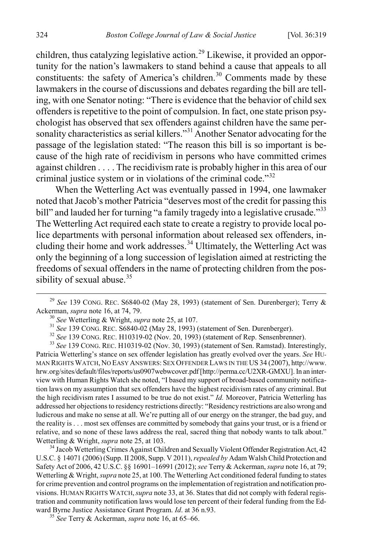children, thus catalyzing legislative action.<sup>[29](#page-6-0)</sup> Likewise, it provided an opportunity for the nation's lawmakers to stand behind a cause that appeals to all constituents: the safety of America's children.<sup>[30](#page-6-1)</sup> Comments made by these lawmakers in the course of discussions and debates regarding the bill are telling, with one Senator noting: "There is evidence that the behavior of child sex offenders is repetitive to the point of compulsion. In fact, one state prison psychologist has observed that sex offenders against children have the same per-sonality characteristics as serial killers."<sup>[31](#page-6-2)</sup> Another Senator advocating for the passage of the legislation stated: "The reason this bill is so important is because of the high rate of recidivism in persons who have committed crimes against children . . . . The recidivism rate is probably higher in this area of our criminal justice system or in violations of the criminal code."[32](#page-6-3)

When the Wetterling Act was eventually passed in 1994, one lawmaker noted that Jacob's mother Patricia "deserves most of the credit for passing this bill" and lauded her for turning "a family tragedy into a legislative crusade."<sup>[33](#page-6-4)</sup> The Wetterling Act required each state to create a registry to provide local police departments with personal information about released sex offenders, in-cluding their home and work addresses.<sup>[34](#page-6-5)</sup> Ultimately, the Wetterling Act was only the beginning of a long succession of legislation aimed at restricting the freedoms of sexual offenders in the name of protecting children from the pos-sibility of sexual abuse.<sup>[35](#page-6-6)</sup>

<span id="page-6-4"></span><span id="page-6-3"></span><span id="page-6-2"></span><span id="page-6-1"></span><sup>30</sup> See Wetterling & Wright, *supra* note 25, at 107.<br><sup>31</sup> See 139 CONG. REC. S6840-02 (May 28, 1993) (statement of Sen. Durenberger).<br><sup>32</sup> See 139 CONG. REC. H10319-02 (Nov. 20, 1993) (statement of Rep. Sensenbrenner).<br> Patricia Wetterling's stance on sex offender legislation has greatly evolved over the years. *See* HU-MAN RIGHTS WATCH, NO EASY ANSWERS: SEX OFFENDER LAWS IN THE US 34 (2007), http://www. hrw.org/sites/default/files/reports/us0907webwcover.pdf [http://perma.cc/U2XR-GMXU]. In an interview with Human Rights Watch she noted, "I based my support of broad-based community notification laws on my assumption that sex offenders have the highest recidivism rates of any criminal. But the high recidivism rates I assumed to be true do not exist." *Id.* Moreover, Patricia Wetterling has addressed her objections to residency restrictions directly: "Residency restrictions are also wrong and ludicrous and make no sense at all. We're putting all of our energy on the stranger, the bad guy, and the reality is . . . most sex offenses are committed by somebody that gains your trust, or is a friend or relative, and so none of these laws address the real, sacred thing that nobody wants to talk about." Wetterling & Wright, *supra* note 25, at 103.<br><sup>34</sup> Jacob Wetterling Crimes Against Children and Sexually Violent Offender Registration Act, 42

<span id="page-6-5"></span>U.S.C. § 14071 (2006) (Supp. II 2008, Supp. V 2011), *repealed by* Adam Walsh Child Protection and Safety Act of 2006, 42 U.S.C. §§ 16901–16991 (2012); *see* Terry & Ackerman, *supra* note 16, at 79; Wetterling & Wright, *supra* note 25, at 100. The Wetterling Act conditioned federal funding to states for crime prevention and control programs on the implementation of registration and notification provisions. HUMAN RIGHTS WATCH,*supra* note 33, at 36. States that did not comply with federal registration and community notification laws would lose ten percent of their federal funding from the Edward Byrne Justice Assistance Grant Program. *Id*. at 36 n.93. <sup>35</sup> *See* Terry & Ackerman, *supra* note 16, at 65–66.

<span id="page-6-6"></span>

<span id="page-6-0"></span><sup>&</sup>lt;sup>29</sup> *See* 139 CONG. REC. S6840-02 (May 28, 1993) (statement of Sen. Durenberger); Terry & Ackerman, *supra* note 16, at 74, 79.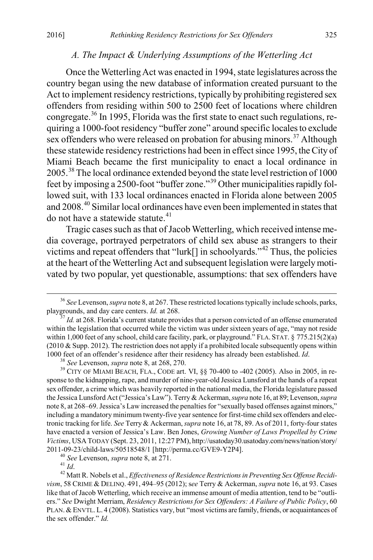## *A. The Impact & Underlying Assumptions of the Wetterling Act*

Once the Wetterling Act was enacted in 1994, state legislatures across the country began using the new database of information created pursuant to the Act to implement residency restrictions, typically by prohibiting registered sex offenders from residing within 500 to 2500 feet of locations where children congregate. [36](#page-7-0) In 1995, Florida was the first state to enact such regulations, requiring a 1000-foot residency "buffer zone" around specific localesto exclude sex offenders who were released on probation for abusing minors.<sup>[37](#page-7-1)</sup> Although these statewide residency restrictions had been in effect since 1995, the City of Miami Beach became the first municipality to enact a local ordinance in 2005.[38](#page-7-2) The local ordinance extended beyond the state level restriction of 1000 feet by imposing a 2500-foot "buffer zone."[39](#page-7-3) Other municipalities rapidly followed suit, with 133 local ordinances enacted in Florida alone between 2005 and 2008.<sup>[40](#page-7-4)</sup> Similar local ordinances have even been implemented in states that do not have a statewide statute.<sup>[41](#page-7-5)</sup>

Tragic cases such as that of Jacob Wetterling, which received intense media coverage, portrayed perpetrators of child sex abuse as strangers to their victims and repeat offenders that "lurk[] in schoolyards."[42](#page-7-6) Thus, the policies at the heart of the Wetterling Act and subsequent legislation were largely motivated by two popular, yet questionable, assumptions: that sex offenders have

<span id="page-7-0"></span><sup>&</sup>lt;sup>36</sup> *See Levenson, supra* note 8, at 267. These restricted locations typically include schools, parks, playgrounds, and day care centers. *Id.* at 268.

<span id="page-7-1"></span><sup>&</sup>lt;sup>37</sup> *Id.* at 268. Florida's current statute provides that a person convicted of an offense enumerated within the legislation that occurred while the victim was under sixteen years of age, "may not reside within 1,000 feet of any school, child care facility, park, or playground." FLA. STAT. § 775.215(2)(a)  $(2010 \&$  Supp. 2012). The restriction does not apply if a prohibited locale subsequently opens within 1000 feet of an offender's residence after their residency has already been established. *Id.*<br><sup>38</sup> See Levenson, *supra* note 8, at 268, 270.<br><sup>39</sup> CITY OF MIAMI BEACH, FLA., CODE art. VI, §§ 70-400 to -402 (2005). Also in

<span id="page-7-3"></span><span id="page-7-2"></span>sponse to the kidnapping, rape, and murder of nine-year-old Jessica Lunsford at the hands of a repeat sex offender, a crime which was heavily reported in the national media, the Florida legislature passed the Jessica Lunsford Act ("Jessica's Law"). Terry & Ackerman, *supra* note 16, at 89; Levenson, *supra* note 8, at 268–69. Jessica's Law increased the penalties for "sexually based offenses against minors," including a mandatory minimum twenty-five year sentence for first-time child sex offenders and electronic tracking for life. *See* Terry & Ackerman, *supra* note 16, at 78, 89. As of 2011, forty-four states have enacted a version of Jessica's Law. Ben Jones, *Growing Number of Laws Propelled by Crime Victims*, USA TODAY (Sept. 23, 2011, 12:27 PM), http://usatoday30.usatoday.com/news/nation/story/

<span id="page-7-6"></span><span id="page-7-5"></span><span id="page-7-4"></span><sup>2011-09-23/</sup>child-laws/50518548/1 [http://perma.cc/GVE9-Y2P4].<br><sup>40</sup> See Levenson, *supra* note 8, at 271.<br><sup>41</sup> Id.<br><sup>42</sup> Matt R. Nobels et al., *Effectiveness of Residence Restrictions in Preventing Sex Offense Recidivism*, 58 CRIME & DELINQ. 491, 494–95 (2012); s*ee* Terry & Ackerman, *supra* note 16, at 93. Cases like that of Jacob Wetterling, which receive an immense amount of media attention, tend to be "outliers." *See* Dwight Merriam, *Residency Restrictions for Sex Offenders: A Failure of Public Policy*, 60 PLAN. &ENVTL. L. 4 (2008). Statistics vary, but "most victims are family, friends, or acquaintances of the sex offender." *Id.*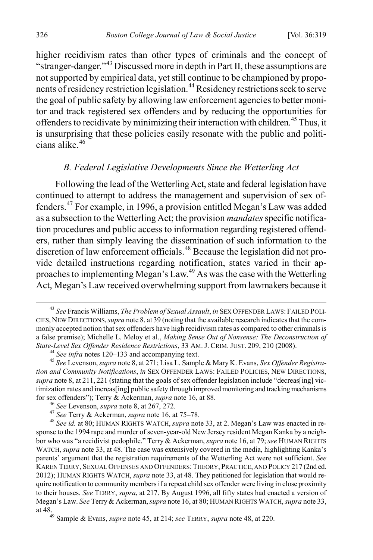higher recidivism rates than other types of criminals and the concept of "stranger-danger."[43](#page-8-0) Discussed more in depth in Part II, these assumptions are not supported by empirical data, yet still continue to be championed by propo-nents of residency restriction legislation.<sup>[44](#page-8-1)</sup> Residency restrictions seek to serve the goal of public safety by allowing law enforcement agencies to better monitor and track registered sex offenders and by reducing the opportunities for offenders to recidivate by minimizing their interaction with children.<sup>[45](#page-8-2)</sup> Thus, it is unsurprising that these policies easily resonate with the public and politi $c$ ians alike. $46$ 

# *B. Federal Legislative Developments Since the Wetterling Act*

Following the lead of the Wetterling Act, state and federal legislation have continued to attempt to address the management and supervision of sex offenders.[47](#page-8-4) For example, in 1996, a provision entitled Megan's Law was added as a subsection to the Wetterling Act; the provision *mandates* specific notification procedures and public access to information regarding registered offenders, rather than simply leaving the dissemination of such information to the discretion of law enforcement officials. [48](#page-8-5) Because the legislation did not provide detailed instructions regarding notification, states varied in their approaches to implementing Megan's Law.[49](#page-8-6) As was the case with the Wetterling Act, Megan's Law received overwhelming support from lawmakers because it

<span id="page-8-0"></span> <sup>43</sup> *See* Francis Williams, *The Problem of Sexual Assault*, *in* SEX OFFENDER LAWS: FAILED POLI-CIES, NEW DIRECTIONS,*supra* note 8, at 39 (noting that the available research indicates that the commonly accepted notion that sex offenders have high recidivism rates as compared to other criminals is a false premise); Michelle L. Meloy et al., *Making Sense Out of Nonsense: The Deconstruction of*  State-Level Sex Offender Residence Restrictions, 33 AM. J. CRIM. JUST. 209, 210 (2008).<br><sup>44</sup> See infra notes 120–133 and accompanying text.<br><sup>45</sup> See Levenson, *supra* note 8, at 271; Lisa L. Sample & Mary K. Evans, Sex Off

<span id="page-8-2"></span><span id="page-8-1"></span>*tion and Community Notifications*, *in* SEX OFFENDER LAWS: FAILED POLICIES, NEW DIRECTIONS, *supra* note 8, at  $211, 221$  (stating that the goals of sex offender legislation include "decreas[ing] victimization rates and increas[ing] public safety through improved monitoring and tracking mechanisms for sex offenders"); Terry & Ackerman, *supra* note 16, at 88.<br>
<sup>46</sup> See Levenson, *supra* note 8, at 267, 272.<br>
<sup>47</sup> See Terry & Ackerman, *supra* note 16, at 75–78.<br>
<sup>48</sup> See id. at 80; HUMAN RIGHTS WATCH, *supra* note

<span id="page-8-5"></span><span id="page-8-4"></span><span id="page-8-3"></span>sponse to the 1994 rape and murder of seven-year-old New Jersey resident Megan Kanka by a neighbor who was "a recidivist pedophile." Terry & Ackerman, *supra* note 16, at 79; *see* HUMAN RIGHTS WATCH, *supra* note 33, at 48. The case was extensively covered in the media, highlighting Kanka's parents' argument that the registration requirements of the Wetterling Act were not sufficient. *See*  KAREN TERRY, SEXUAL OFFENSES AND OFFENDERS: THEORY, PRACTICE, AND POLICY 217 (2nd ed. 2012); HUMAN RIGHTS WATCH, *supra* note 33, at 48. They petitioned for legislation that would require notification to community members if a repeat child sex offender were living in close proximity to their houses. *See* TERRY, *supra*, at 217. By August 1996, all fifty states had enacted a version of Megan's Law. *See* Terry & Ackerman, *supra* note 16, at 80; HUMAN RIGHTS WATCH, *supra* note 33, at 48.49 Sample & Evans, *supra* note 45, at 214; *see* TERRY, *supra* note 48, at 220.

<span id="page-8-6"></span>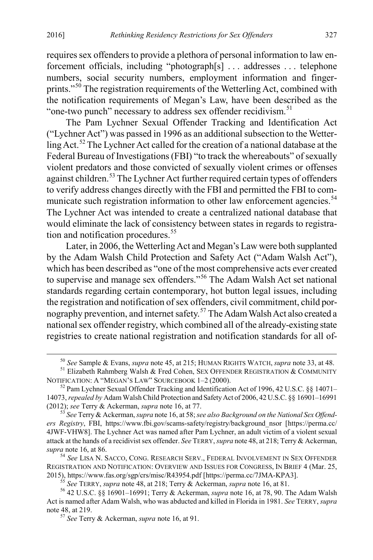requires sex offenders to provide a plethora of personal information to law enforcement officials, including "photograph[s] . . . addresses . . . telephone numbers, social security numbers, employment information and finger-prints."<sup>[50](#page-9-0)</sup> The registration requirements of the Wetterling Act, combined with the notification requirements of Megan's Law, have been described as the "one-two punch" necessary to address sex offender recidivism. $51$ 

The Pam Lychner Sexual Offender Tracking and Identification Act ("Lychner Act") was passed in 1996 as an additional subsection to the Wetter-ling Act.<sup>[52](#page-9-2)</sup> The Lychner Act called for the creation of a national database at the Federal Bureau of Investigations (FBI) "to track the whereabouts" of sexually violent predators and those convicted of sexually violent crimes or offenses against children.<sup>[53](#page-9-3)</sup> The Lychner Act further required certain types of offenders to verify address changes directly with the FBI and permitted the FBI to com-municate such registration information to other law enforcement agencies.<sup>[54](#page-9-4)</sup> The Lychner Act was intended to create a centralized national database that would eliminate the lack of consistency between states in regards to registration and notification procedures. $55$ 

Later, in 2006, the Wetterling Act and Megan's Law were both supplanted by the Adam Walsh Child Protection and Safety Act ("Adam Walsh Act"), which has been described as "one of the most comprehensive acts ever created to supervise and manage sex offenders."[56](#page-9-6) The Adam Walsh Act set national standards regarding certain contemporary, hot button legal issues, including the registration and notification of sex offenders, civil commitment, child por-nography prevention, and internet safety.<sup>[57](#page-9-7)</sup> The Adam Walsh Act also created a national sex offender registry, which combined all of the already-existing state registries to create national registration and notification standards for all of-

<sup>50</sup> *See* Sample & Evans, *supra* note 45, at 215; HUMAN RIGHTS WATCH, *supra* note 33, at 48. <sup>51</sup> Elizabeth Rahmberg Walsh & Fred Cohen, SEX OFFENDER REGISTRATION & COMMUNITY

<span id="page-9-1"></span><span id="page-9-0"></span>NOTIFICATION: A "MEGAN'S LAW" SOURCEBOOK 1–2 (2000).<br><sup>52</sup> Pam Lychner Sexual Offender Tracking and Identification Act of 1996, 42 U.S.C. §§ 14071–

<span id="page-9-2"></span><sup>14073,</sup> *repealed by* Adam Walsh Child Protection and Safety Act of 2006, 42 U.S.C. §§ 16901–16991 (2012); *see* Terry & Ackerman, *supra* note 16, at 77.<br><sup>53</sup> See Terry & Ackerman, *supra* note 16, at 58; *see also Background on the National Sex Offend-*

<span id="page-9-3"></span>*ers Registry*, FBI, https://www.fbi.gov/scams-safety/registry/background\_nsor [https://perma.cc/ 4JWF-VHW8]. The Lychner Act was named after Pam Lychner, an adult victim of a violent sexual attack at the hands of a recidivist sex offender. *See* TERRY, *supra* note 48, at 218; Terry & Ackerman, *supra* note 16, at 86.

<span id="page-9-4"></span><sup>54</sup> *See* LISA N. SACCO, CONG. RESEARCH SERV., FEDERAL INVOLVEMENT IN SEX OFFENDER REGISTRATION AND NOTIFICATION: OVERVIEW AND ISSUES FOR CONGRESS, IN BRIEF 4 (Mar. 25, 2015), https://www.fas.org/sgp/crs/misc/R43954.pdf [https://perma.cc/7JMA-KPA3].

<span id="page-9-7"></span><span id="page-9-6"></span><span id="page-9-5"></span><sup>&</sup>lt;sup>55</sup> See TERRY, *supra* note 48, at 218; Terry & Ackerman, *supra* note 16, at 81.<br><sup>56</sup> 42 U.S.C. §§ 16901–16991; Terry & Ackerman, *supra* note 16, at 78, 90. The Adam Walsh Act is named after Adam Walsh, who was abducted and killed in Florida in 1981. *See* TERRY, *supra*

<sup>&</sup>lt;sup>57</sup> See Terry & Ackerman, *supra* note 16, at 91.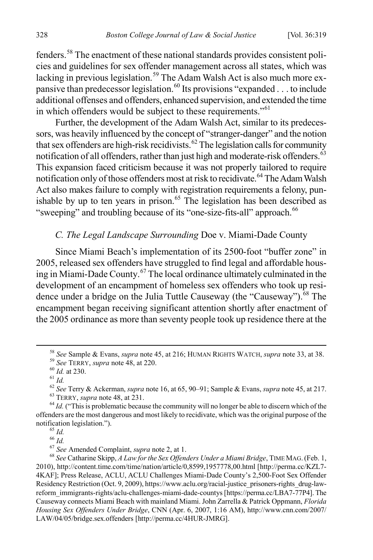fenders.[58](#page-10-0) The enactment of these national standards provides consistent policies and guidelines for sex offender management across all states, which was lacking in previous legislation.<sup>[59](#page-10-1)</sup> The Adam Walsh Act is also much more ex-pansive than predecessor legislation.<sup>[60](#page-10-2)</sup> Its provisions "expanded . . . to include additional offenses and offenders, enhanced supervision, and extended the time in which offenders would be subject to these requirements."<sup>[61](#page-10-3)</sup>

Further, the development of the Adam Walsh Act, similar to its predecessors, was heavily influenced by the concept of "stranger-danger" and the notion that sex offenders are high-risk recidivists. $62$  The legislation calls for community notification of all offenders, rather than just high and moderate-risk offenders.<sup>[63](#page-10-5)</sup> This expansion faced criticism because it was not properly tailored to require notification only of those offenders most at risk to recidivate.<sup>[64](#page-10-6)</sup> The Adam Walsh Act also makes failure to comply with registration requirements a felony, pun-ishable by up to ten years in prison.<sup>[65](#page-10-7)</sup> The legislation has been described as "sweeping" and troubling because of its "one-size-fits-all" approach.<sup>[66](#page-10-8)</sup>

# *C. The Legal Landscape Surrounding* Doe v. Miami-Dade County

Since Miami Beach's implementation of its 2500-foot "buffer zone" in 2005, released sex offenders have struggled to find legal and affordable housing in Miami-Dade County. [67](#page-10-9) The local ordinance ultimately culminated in the development of an encampment of homeless sex offenders who took up resi-dence under a bridge on the Julia Tuttle Causeway (the "Causeway").<sup>[68](#page-10-10)</sup> The encampment began receiving significant attention shortly after enactment of the 2005 ordinance as more than seventy people took up residence there at the

<span id="page-10-2"></span>

<span id="page-10-1"></span><span id="page-10-0"></span><sup>&</sup>lt;sup>58</sup> See Sample & Evans, *supra* note 45, at 216; HUMAN RIGHTS WATCH, *supra* note 33, at 38.<br><sup>59</sup> See TERRY, *supra* note 48, at 220.<br><sup>61</sup> Id. at 230.<br><sup>61</sup> Id.<br><sup>62</sup> See Terry & Ackerman, *supra* note 16, at 65, 90–91; Sa

<span id="page-10-7"></span><span id="page-10-6"></span><span id="page-10-5"></span><span id="page-10-4"></span><span id="page-10-3"></span>offenders are the most dangerous and most likely to recidivate, which was the original purpose of the notification legislation.").<br>
<sup>65</sup> *Id.*<br>
<sup>67</sup> *See* Amended Complaint, *supra* note 2, at 1.<br>
<sup>68</sup> *See* Catharine Skipp, *A Law for the Sex Offenders Under a Miami Bridge*, TIME MAG. (Feb. 1, 68

<span id="page-10-10"></span><span id="page-10-9"></span><span id="page-10-8"></span><sup>2010),</sup> http://content.time.com/time/nation/article/0,8599,1957778,00.html [http://perma.cc/KZL7- 4KAF]; Press Release, ACLU, ACLU Challenges Miami-Dade County's 2,500-Foot Sex Offender Residency Restriction (Oct. 9, 2009), https://www.aclu.org/racial-justice\_prisoners-rights\_drug-lawreform\_immigrants-rights/aclu-challenges-miami-dade-countys [https://perma.cc/LBA7-77P4]. The Causeway connects Miami Beach with mainland Miami. John Zarrella & Patrick Oppmann, *Florida Housing Sex Offenders Under Bridge*, CNN (Apr. 6, 2007, 1:16 AM), http://www.cnn.com/2007/ LAW/04/05/bridge.sex.offenders [http://perma.cc/4HUR-JMRG].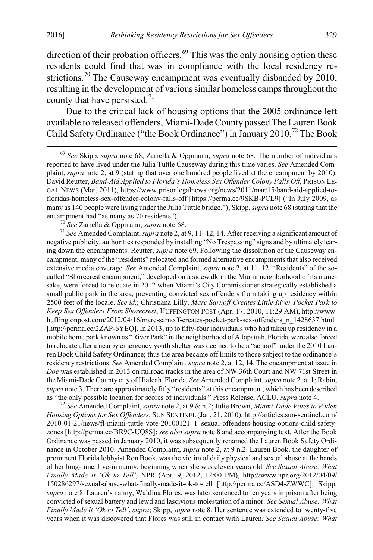direction of their probation officers.<sup>[69](#page-11-0)</sup> This was the only housing option these residents could find that was in compliance with the local residency re-strictions.<sup>[70](#page-11-1)</sup> The Causeway encampment was eventually disbanded by 2010, resulting in the development of various similar homeless camps throughout the county that have persisted. $71$ 

Due to the critical lack of housing options that the 2005 ordinance left available to released offenders, Miami-Dade County passed The Lauren Book Child Safety Ordinance ("the Book Ordinance") in January 2010.<sup>[72](#page-11-3)</sup> The Book

<span id="page-11-0"></span> 69 *See* Skipp, *supra* note 68; Zarrella & Oppmann, *supra* note 68. The number of individuals reported to have lived under the Julia Tuttle Causeway during this time varies. *See* Amended Complaint, *supra* note 2, at 9 (stating that over one hundred people lived at the encampment by 2010); David Reutter, *Band-Aid Applied to Florida's Homeless Sex Offender Colony Falls Off*, PRISON LE-GAL NEWS (Mar. 2011), https://www.prisonlegalnews.org/news/2011/mar/15/band-aid-applied-tofloridas-homeless-sex-offender-colony-falls-off [https://perma.cc/9SKB-PCL9] ("In July 2009, as many as 140 people were living under the Julia Tuttle bridge."); Skipp, *supra* note 68 (stating that the encampment had "as many as 70 residents").<br><sup>70</sup> *See* Zarrella & Oppmann, *supra* note 68.<br><sup>71</sup> *See* Amended Complaint, *supra* note 2, at 9, 11–12, 14. After receiving a significant amount of

<span id="page-11-2"></span><span id="page-11-1"></span>negative publicity, authorities responded by installing "No Trespassing" signs and by ultimately tearing down the encampments. Reutter, *supra* note 69. Following the dissolution of the Causeway encampment, many of the "residents" relocated and formed alternative encampments that also received extensive media coverage. *See* Amended Complaint, *supra* note 2, at 11, 12. "Residents" of the socalled "Shorecrest encampment," developed on a sidewalk in the Miami neighborhood of its namesake, were forced to relocate in 2012 when Miami's City Commissioner strategically established a small public park in the area, preventing convicted sex offenders from taking up residency within 2500 feet of the locale. *See id.*; Christiana Lilly, *Marc Sarnoff Creates Little River Pocket Park to Keep Sex Offenders From Shorecrest*, HUFFINGTON POST (Apr. 17, 2010, 11:29 AM), http://www. huffingtonpost.com/2012/04/16/marc-sarnoff-creates-pocket-park-sex-offenders\_n\_1428637.html [http://perma.cc/2ZAP-6YEQ]. In 2013, up to fifty-four individuals who had taken up residency in a mobile home park known as "River Park" in the neighborhood of Allapattah, Florida, were also forced to relocate after a nearby emergency youth shelter was deemed to be a "school" under the 2010 Lauren Book Child Safety Ordinance; thus the area became off limits to those subject to the ordinance's residency restrictions. *See* Amended Complaint, *supra* note 2, at 12, 14. The encampment at issue in *Doe* was established in 2013 on railroad tracks in the area of NW 36th Court and NW 71st Street in the Miami-Dade County city of Hialeah, Florida. *See* Amended Complaint, *supra* note 2, at 1; Rabin, *supra* note 3. There are approximately fifty "residents" at this encampment, which has been described as "the only possible location for scores of individuals." Press Release, ACLU, *supra* note 4. <sup>72</sup> *See* Amended Complaint, *supra* note 2, at 9 & n.2; Julie Brown, *Miami-Dade Votes to Widen* 

<span id="page-11-3"></span>*Housing Options for Sex Offenders*, SUN SENTINEL (Jan. 21, 2010), http://articles.sun-sentinel.com/ 2010-01-21/news/fl-miami-tuttle-vote-20100121\_1\_sexual-offenders-housing-options-child-safetyzones [http://perma.cc/BR9C-UQ8S]; *see also supra* note 8 and accompanying text. After the Book Ordinance was passed in January 2010, it was subsequently renamed the Lauren Book Safety Ordinance in October 2010. Amended Complaint, *supra* note 2, at 9 n.2. Lauren Book, the daughter of prominent Florida lobbyist Ron Book, was the victim of daily physical and sexual abuse at the hands of her long-time, live-in nanny, beginning when she was eleven years old. *See Sexual Abuse: What Finally Made It 'Ok to Tell'*, NPR (Apr. 9, 2012, 12:00 PM), http://www.npr.org/2012/04/09/ 150286297/sexual-abuse-what-finally-made-it-ok-to-tell [http://perma.cc/ASD4-ZWWC]; Skipp, *supra* note 8. Lauren's nanny, Waldina Flores, was later sentenced to ten years in prison after being convicted of sexual battery and lewd and lascivious molestation of a minor. *See Sexual Abuse: What Finally Made It 'Ok to Tell'*, *supra*; Skipp, *supra* note 8. Her sentence was extended to twenty-five years when it was discovered that Flores was still in contact with Lauren. *See Sexual Abuse: What*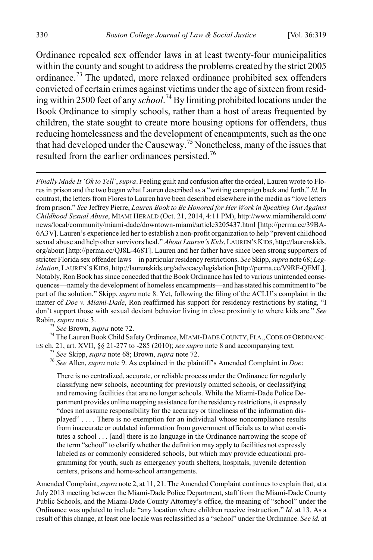Ordinance repealed sex offender laws in at least twenty-four municipalities within the county and sought to address the problems created by the strict 2005 ordinance.[73](#page-12-0) The updated, more relaxed ordinance prohibited sex offenders convicted of certain crimes against victims under the age of sixteen from residing within 2500 feet of any *school*. [74](#page-12-1) By limiting prohibited locations under the Book Ordinance to simply schools, rather than a host of areas frequented by children, the state sought to create more housing options for offenders, thus reducing homelessness and the development of encampments, such asthe one that had developed under the Causeway.<sup>[75](#page-12-2)</sup> Nonetheless, many of the issues that resulted from the earlier ordinances persisted.<sup>[76](#page-12-3)</sup>

*Finally Made It 'Ok to Tell'*, *supra*. Feeling guilt and confusion after the ordeal, Lauren wrote to Flores in prison and the two began what Lauren described as a "writing campaign back and forth." *Id.* In contrast, the letters from Flores to Lauren have been described elsewhere in the media as "love letters from prison." *See* Jeffrey Pierre, *Lauren Book to Be Honored for Her Work in Speaking Out Against Childhood Sexual Abuse*, MIAMI HERALD (Oct. 21, 2014, 4:11 PM), http://www.miamiherald.com/ news/local/community/miami-dade/downtown-miami/article3205437.html [http://perma.cc/39BA-6A3V]. Lauren's experience led her to establish a non-profit organization to help "prevent childhood sexual abuse and help other survivors heal." *About Lauren's Kids*, LAUREN'S KIDS, http://laurenskids. org/about [http://perma.cc/QJ8L-468T]. Lauren and her father have since been strong supporters of stricter Florida sex offender laws—in particular residency restrictions. *See* Skipp, *supra* note 68; *Legislation*, LAUREN'S KIDS, http://laurenskids.org/advocacy/legislation [http://perma.cc/V9RF-QEML]. Notably, Ron Book has since conceded that the Book Ordinance has led to various unintended consequences—namely the development of homeless encampments—and has stated his commitment to "be part of the solution." Skipp, *supra* note 8. Yet, following the filing of the ACLU's complaint in the matter of *Doe v. Miami-Dade*, Ron reaffirmed his support for residency restrictions by stating, "I don't support those with sexual deviant behavior living in close proximity to where kids are." *See*

<span id="page-12-2"></span><span id="page-12-1"></span><span id="page-12-0"></span>Rabin, *supra* note 3.<br><sup>73</sup> *See* Brown, *supra* note 72.<br><sup>74</sup> The Lauren Book Child Safety Ordinance, MIAMI-DADE COUNTY, FLA., CODE OF ORDINANC-<br>ES ch. 21, art. XVII, §§ 21-277 to -285 (2010); *see supra* note 8 and accom

<span id="page-12-3"></span><sup>75</sup> See Skipp, supra note 68; Brown, supra note 72.<br><sup>76</sup> See Allen, supra note 9. As explained in the plaintiff's Amended Complaint in *Doe*:

There is no centralized, accurate, or reliable process under the Ordinance for regularly classifying new schools, accounting for previously omitted schools, or declassifying and removing facilities that are no longer schools. While the Miami-Dade Police Department provides online mapping assistance for the residency restrictions, it expressly "does not assume responsibility for the accuracy or timeliness of the information displayed" . . . . There is no exemption for an individual whose noncompliance results from inaccurate or outdated information from government officials as to what constitutes a school . . . [and] there is no language in the Ordinance narrowing the scope of the term "school" to clarify whether the definition may apply to facilities not expressly labeled as or commonly considered schools, but which may provide educational programming for youth, such as emergency youth shelters, hospitals, juvenile detention centers, prisons and home-school arrangements.

Amended Complaint, *supra* note 2, at 11, 21. The Amended Complaint continues to explain that, at a July 2013 meeting between the Miami-Dade Police Department, staff from the Miami-Dade County Public Schools, and the Miami-Dade County Attorney's office, the meaning of "school" under the Ordinance was updated to include "any location where children receive instruction." *Id.* at 13. As a result of this change, at least one locale was reclassified as a "school" under the Ordinance. *See id.* at

 $\overline{a}$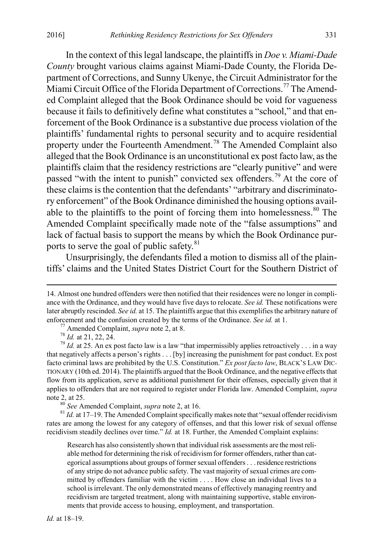In the context of this legal landscape, the plaintiffs in *Doe v. Miami-Dade County* brought various claims against Miami-Dade County, the Florida Department of Corrections, and Sunny Ukenye, the Circuit Administrator for the Miami Circuit Office of the Florida Department of Corrections.<sup>[77](#page-13-0)</sup> The Amended Complaint alleged that the Book Ordinance should be void for vagueness because it fails to definitively define what constitutes a "school," and that enforcement of the Book Ordinance is a substantive due process violation of the plaintiffs' fundamental rights to personal security and to acquire residential property under the Fourteenth Amendment.<sup>[78](#page-13-1)</sup> The Amended Complaint also alleged that the Book Ordinance is an unconstitutional ex post facto law, as the plaintiffs claim that the residency restrictions are "clearly punitive" and were passed "with the intent to punish" convicted sex offenders.<sup>[79](#page-13-2)</sup> At the core of these claims is the contention that the defendants' "arbitrary and discriminatory enforcement" of the Book Ordinance diminished the housing options available to the plaintiffs to the point of forcing them into homelessness. $80$  The Amended Complaint specifically made note of the "false assumptions" and lack of factual basis to support the means by which the Book Ordinance pur-ports to serve the goal of public safety.<sup>[81](#page-13-4)</sup>

Unsurprisingly, the defendants filed a motion to dismiss all of the plaintiffs' claims and the United States District Court for the Southern District of

<span id="page-13-4"></span><span id="page-13-3"></span>rates are among the lowest for any category of offenses, and that this lower risk of sexual offense recidivism steadily declines over time." *Id.* at 18. Further, the Amended Complaint explains:

Research has also consistently shown that individual risk assessments are the most reliable method for determining the risk of recidivism for former offenders, rather than categorical assumptions about groups of former sexual offenders . . . residence restrictions of any stripe do not advance public safety. The vast majority of sexual crimes are committed by offenders familiar with the victim . . . . How close an individual lives to a school is irrelevant. The only demonstrated means of effectively managing reentry and recidivism are targeted treatment, along with maintaining supportive, stable environments that provide access to housing, employment, and transportation.

*Id.* at 18–19.

 <sup>14.</sup> Almost one hundred offenders were then notified that their residences were no longer in compliance with the Ordinance, and they would have five days to relocate. *See id.* These notifications were later abruptly rescinded. *See id.* at 15. The plaintiffs argue that this exemplifies the arbitrary nature of enforcement and the confusion created by the terms of the Ordinance. *See id.* at 1.<br><sup>77</sup> Amended Complaint, *supra* note 2, at 8.<br><sup>78</sup> Id. at 21, 22, 24.<br><sup>79</sup> Id. at 25. An ex post facto law is a law "that impermissibly

<span id="page-13-2"></span><span id="page-13-1"></span><span id="page-13-0"></span>that negatively affects a person's rights . . . [by] increasing the punishment for past conduct. Ex post facto criminal laws are prohibited by the U.S. Constitution." *Ex post facto law*, BLACK'S LAW DIC-TIONARY (10th ed. 2014). The plaintiffs argued that the Book Ordinance, and the negative effects that flow from its application, serve as additional punishment for their offenses, especially given that it applies to offenders that are not required to register under Florida law. Amended Complaint, *supra* note 2, at 25.<br><sup>80</sup> *See* Amended Complaint, *supra* note 2, at 16.<br><sup>81</sup> *Id.* at 17–19. The Amended Complaint specifically makes note that "sexual offender recidivism"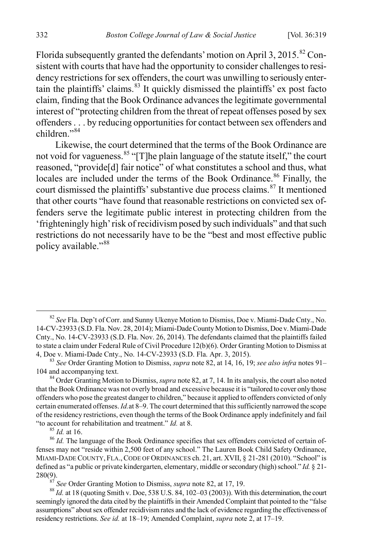Florida subsequently granted the defendants' motion on April 3, 2015.<sup>[82](#page-14-0)</sup> Consistent with courts that have had the opportunity to consider challenges to residency restrictions for sex offenders, the court was unwilling to seriously entertain the plaintiffs' claims. $83$  It quickly dismissed the plaintiffs' ex post facto claim, finding that the Book Ordinance advances the legitimate governmental interest of "protecting children from the threat of repeat offenses posed by sex offenders . . . by reducing opportunities for contact between sex offenders and children<sup>"[84](#page-14-2)</sup>

Likewise, the court determined that the terms of the Book Ordinance are not void for vagueness.<sup>[85](#page-14-3)</sup> "[T]he plain language of the statute itself," the court reasoned, "provide[d] fair notice" of what constitutes a school and thus, what locales are included under the terms of the Book Ordinance.<sup>[86](#page-14-4)</sup> Finally, the court dismissed the plaintiffs' substantive due process claims. [87](#page-14-5) It mentioned that other courts "have found that reasonable restrictions on convicted sex offenders serve the legitimate public interest in protecting children from the 'frighteningly high' risk of recidivism posed by such individuals" and that such restrictions do not necessarily have to be the "best and most effective public policy available."<sup>[88](#page-14-6)</sup>

<span id="page-14-2"></span><sup>84</sup> Order Granting Motion to Dismiss, *supra* note 82, at 7, 14. In its analysis, the court also noted that the Book Ordinance was not overly broad and excessive because it is "tailored to cover only those offenders who pose the greatest danger to children," because it applied to offenders convicted of only certain enumerated offenses. *Id.*at 8–9. The court determined that this sufficiently narrowed the scope of the residency restrictions, even though the terms of the Book Ordinance apply indefinitely and fail "to account for rehabilitation and treatment." *Id.* at 8.<br><sup>85</sup> *Id.* at 16.<br><sup>86</sup> *Id.* The language of the Book Ordinance specifies that sex offenders convicted of certain of-

<span id="page-14-4"></span><span id="page-14-3"></span>fenses may not "reside within 2,500 feet of any school." The Lauren Book Child Safety Ordinance, MIAMI-DADE COUNTY, FLA.,CODE OF ORDINANCES ch. 21, art. XVII, § 21-281 (2010). "School" is defined as "a public or private kindergarten, elementary, middle or secondary (high) school." *Id.* § 21- 280(9).<br><sup>87</sup> *See* Order Granting Motion to Dismiss, *supra* note 82, at 17, 19.<br><sup>88</sup> *Id.* at 18 (quoting Smith v. Doe, 538 U.S. 84, 102–03 (2003)). With this determination, the court

<span id="page-14-6"></span><span id="page-14-5"></span>seemingly ignored the data cited by the plaintiffs in their Amended Complaint that pointed to the "false assumptions" about sex offender recidivism rates and the lack of evidence regarding the effectiveness of residency restrictions. *See id.* at 18–19; Amended Complaint, *supra* note 2, at 17–19.

<span id="page-14-0"></span> <sup>82</sup> *See* Fla. Dep't of Corr. and Sunny Ukenye Motion to Dismiss, Doe v. Miami-Dade Cnty., No. 14-CV-23933 (S.D. Fla. Nov. 28, 2014); Miami-Dade County Motion to Dismiss, Doe v. Miami-Dade Cnty., No. 14-CV-23933 (S.D. Fla. Nov. 26, 2014). The defendants claimed that the plaintiffs failed to state a claim under Federal Rule of Civil Procedure 12(b)(6). Order Granting Motion to Dismiss at 4, Doe v. Miami-Dade Cnty., No. 14-CV-23933 (S.D. Fla. Apr. 3, 2015).

<span id="page-14-1"></span><sup>&</sup>lt;sup>83</sup> See Order Granting Motion to Dismiss, *supra* note 82, at 14, 16, 19; *see also infra* notes 91–104 and accompanying text.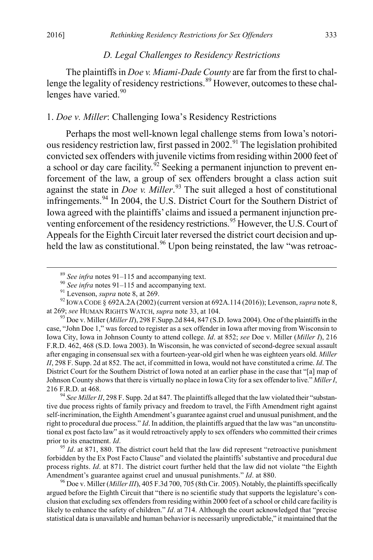#### *D. Legal Challenges to Residency Restrictions*

The plaintiffs in *Doe v. Miami-Dade County* are far from the first to chal-lenge the legality of residency restrictions.<sup>[89](#page-15-0)</sup> However, outcomes to these chal-lenges have varied.<sup>[90](#page-15-1)</sup>

# 1. *Doe v. Miller*: Challenging Iowa's Residency Restrictions

Perhaps the most well-known legal challenge stems from Iowa's notorious residency restriction law, first passed in  $2002$ .<sup>[91](#page-15-2)</sup> The legislation prohibited convicted sex offenders with juvenile victims from residing within 2000 feet of a school or day care facility.<sup> $\delta$ 2</sup> Seeking a permanent injunction to prevent enforcement of the law, a group of sex offenders brought a class action suit against the state in *Doe v. Miller*. [93](#page-15-4) The suit alleged a host of constitutional infringements.[94](#page-15-5) In 2004, the U.S. District Court for the Southern District of Iowa agreed with the plaintiffs' claims and issued a permanent injunction pre-venting enforcement of the residency restrictions.<sup>[95](#page-15-6)</sup> However, the U.S. Court of Appeals for the Eighth Circuit later reversed the district court decision and up-held the law as constitutional.<sup>[96](#page-15-7)</sup> Upon being reinstated, the law "was retroac-

<span id="page-15-5"></span>tive due process rights of family privacy and freedom to travel, the Fifth Amendment right against self-incrimination, the Eighth Amendment's guarantee against cruel and unusual punishment, and the right to procedural due process." *Id*. In addition, the plaintiffs argued that the law was "an unconstitutional ex post facto law" as it would retroactively apply to sex offenders who committed their crimes prior to its enactment. *Id*.<br><sup>95</sup> *Id*. at 871, 880. The district court held that the law did represent "retroactive punishment"

<span id="page-15-6"></span>forbidden by the Ex Post Facto Clause" and violated the plaintiffs' substantive and procedural due process rights. *Id*. at 871. The district court further held that the law did not violate "the Eighth Amendment's guarantee against cruel and unusual punishments." *Id.* at 880.<br><sup>96</sup> Doe v. Miller (*Miller III*), 405 F.3d 700, 705 (8th Cir. 2005). Notably, the plaintiffs specifically

<span id="page-15-7"></span>argued before the Eighth Circuit that "there is no scientific study that supports the legislature's conclusion that excluding sex offenders from residing within 2000 feet of a school or child care facility is likely to enhance the safety of children." *Id*. at 714. Although the court acknowledged that "precise statistical data is unavailable and human behavior is necessarily unpredictable," it maintained that the

<span id="page-15-2"></span><span id="page-15-1"></span><span id="page-15-0"></span><sup>&</sup>lt;sup>89</sup> See infra notes 91–115 and accompanying text.<br><sup>90</sup> See infra notes 91–115 and accompanying text.<br><sup>91</sup> Levenson, *supra* note 8, at 269.<br><sup>92</sup> IOWA CODE § 692A.2A (2002) (current version at 692A.114 (2016)); Levenson,

<span id="page-15-4"></span><span id="page-15-3"></span><sup>&</sup>lt;sup>93</sup> Doe v. Miller (*Miller II*), 298 F.Supp.2d 844, 847 (S.D. Iowa 2004). One of the plaintiffs in the case, "John Doe 1," was forced to register as a sex offender in Iowa after moving from Wisconsin to Iowa City, Iowa in Johnson County to attend college. *Id*. at 852; *see* Doe v. Miller (*Miller I*), 216 F.R.D. 462, 468 (S.D. Iowa 2003). In Wisconsin, he was convicted of second-degree sexual assault after engaging in consensual sex with a fourteen-year-old girl when he was eighteen years old. *Miller II*, 298 F. Supp. 2d at 852. The act, if committed in Iowa, would not have constituted a crime. *Id*. The District Court for the Southern District of Iowa noted at an earlier phase in the case that "[a] map of Johnson County shows that there is virtually no place in Iowa City for a sex offender to live." *Miller I*, 216 F.R.D. at 468. <sup>94</sup> *See Miller II*, 298 F. Supp. 2d at 847. The plaintiffs alleged that the law violated their "substan-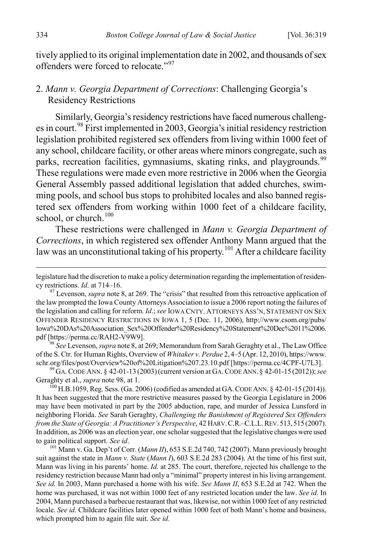tively applied to its original implementation date in 2002, and thousands of sex offenders were forced to relocate."[97](#page-16-0)

# 2. *Mann v. Georgia Department of Corrections*: Challenging Georgia's Residency Restrictions

Similarly, Georgia's residency restrictions have faced numerous challenges in court.[98](#page-16-1) First implemented in 2003, Georgia's initial residency restriction legislation prohibited registered sex offenders from living within 1000 feet of any school, childcare facility, or other areas where minors congregate, such as parks, recreation facilities, gymnasiums, skating rinks, and playgrounds.<sup>[99](#page-16-2)</sup> These regulations were made even more restrictive in 2006 when the Georgia General Assembly passed additional legislation that added churches, swimming pools, and school bus stops to prohibited locales and also banned registered sex offenders from working within 1000 feet of a childcare facility, school, or church.<sup>[100](#page-16-3)</sup>

These restrictions were challenged in *Mann v. Georgia Department of Corrections*, in which registered sex offender Anthony Mann argued that the law was an unconstitutional taking of his property.<sup>[101](#page-16-4)</sup> After a childcare facility

<span id="page-16-1"></span><sup>98</sup> See Levenson, *supra* note 8, at 269; Memorandum from Sarah Geraghty et al., The Law Office of the S. Ctr. for Human Rights, Overview of *Whitaker v. Perdue* 2, 4–5 (Apr. 12, 2010), https://www. schr.org/files/post/Overview%20of%20Litigation%207.23.10.pdf [https://perma.cc/4CPF-U7L3]. <sup>99</sup> GA.CODE ANN. § 42-01-13 (2003)(current version at GA.CODE ANN. § 42-01-15 (2012)); *see*

<span id="page-16-2"></span>Geraghty et al., *supra* note 98, at 1.<br><sup>100</sup> H.B.1059, Reg. Sess. (Ga. 2006) (codified as amended at GA. CODE ANN. § 42-01-15 (2014)).

<span id="page-16-3"></span>It has been suggested that the more restrictive measures passed by the Georgia Legislature in 2006 may have been motivated in part by the 2005 abduction, rape, and murder of Jessica Lunsford in neighboring Florida. *See* Sarah Geraghty, *Challenging the Banishment of Registered Sex Offenders from the State of Georgia: A Practitioner's Perspective*, 42 HARV.C.R.–C.L.L.REV. 513, 515 (2007). In addition, as 2006 was an election year, one scholar suggested that the legislative changes were used to gain political support. See id.

<span id="page-16-4"></span><sup>101</sup> Mann v. Ga. Dep't of Corr. (*Mann II*), 653 S.E.2d 740, 742 (2007). Mann previously brought suit against the state in *Mann v. State* (*Mann I*), 603 S.E.2d 283 (2004). At the time of his first suit, Mann was living in his parents' home. *Id.* at 285. The court, therefore, rejected his challenge to the residency restriction because Mann had only a "minimal" property interest in his living arrangement. *See id.* In 2003, Mann purchased a home with his wife. *See Mann II*, 653 S.E.2d at 742. When the home was purchased, it was not within 1000 feet of any restricted location under the law. *See id.* In 2004, Mann purchased a barbecue restaurant that was, likewise, not within 1000 feet of any restricted locale. *See id.* Childcare facilities later opened within 1000 feet of both Mann's home and business, which prompted him to again file suit. *See id.*

legislature had the discretion to make a policy determination regarding the implementation of residen-<br>cv restrictions. *Id.* at 714–16.

<span id="page-16-0"></span><sup>&</sup>lt;sup>97</sup> Levenson, *supra* note 8, at 269. The "crisis" that resulted from this retroactive application of the law prompted the Iowa County Attorneys Association to issue a 2006 report noting the failures of the legislation and calling for reform. *Id*.; *see* IOWA CNTY. ATTORNEYS ASS'N, STATEMENT ON SEX OFFENDER RESIDENCY RESTRICTIONS IN IOWA 1, 5 (Dec. 11, 2006), http://www.csom.org/pubs/ Iowa%20DAs%20Association\_Sex%20Offender%20Residency%20Statement%20Dec%2011%2006.<br>pdf [https://perma.cc/RAH2-V9W9].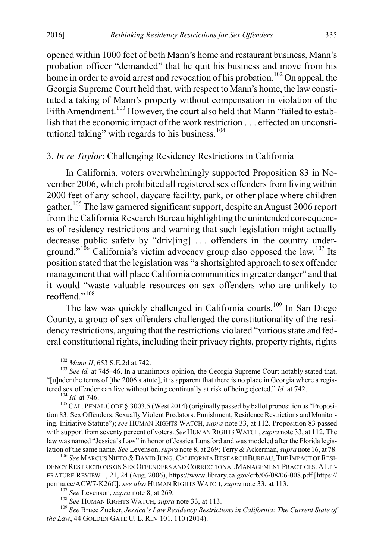opened within 1000 feet of both Mann's home and restaurant business, Mann's probation officer "demanded" that he quit his business and move from his home in order to avoid arrest and revocation of his probation.<sup>[102](#page-17-0)</sup> On appeal, the Georgia Supreme Court held that, with respect to Mann's home, the law constituted a taking of Mann's property without compensation in violation of the Fifth Amendment.<sup>[103](#page-17-1)</sup> However, the court also held that Mann "failed to establish that the economic impact of the work restriction . . . effected an unconsti-tutional taking" with regards to his business.<sup>[104](#page-17-2)</sup>

#### 3. *In re Taylor*: Challenging Residency Restrictions in California

In California, voters overwhelmingly supported Proposition 83 in November 2006, which prohibited all registered sex offenders from living within 2000 feet of any school, daycare facility, park, or other place where children gather.<sup>[105](#page-17-3)</sup> The law garnered significant support, despite an August 2006 report from the California Research Bureau highlighting the unintended consequences of residency restrictions and warning that such legislation might actually decrease public safety by "driv[ing] ... offenders in the country under-ground."<sup>[106](#page-17-4)</sup> California's victim advocacy group also opposed the law.<sup>[107](#page-17-5)</sup> Its position stated that the legislation was "a shortsighted approach to sex offender management that will place California communities in greater danger" and that it would "waste valuable resources on sex offenders who are unlikely to reoffend<sup>",[108](#page-17-6)</sup>

The law was quickly challenged in California courts.<sup>[109](#page-17-7)</sup> In San Diego County, a group of sex offenders challenged the constitutionality of the residency restrictions, arguing that the restrictions violated "various state and federal constitutional rights, including their privacy rights, property rights, rights

<span id="page-17-1"></span><span id="page-17-0"></span><sup>&</sup>lt;sup>102</sup> *Mann II*, 653 S.E.2d at 742.<br><sup>103</sup> *See id.* at 745–46. In a unanimous opinion, the Georgia Supreme Court notably stated that, "[u]nder the terms of [the 2006 statute], it is apparent that there is no place in Georgia where a regis-<br>tered sex offender can live without being continually at risk of being ejected." *Id.* at 742.

<span id="page-17-3"></span><span id="page-17-2"></span><sup>&</sup>lt;sup>104</sup> *Id.* at 746.<br><sup>105</sup> CAL. PENAL CODE § 3003.5 (West 2014) (originally passed by ballot proposition as "Proposition 83: Sex Offenders. Sexually Violent Predators. Punishment, Residence Restrictions and Monitoring. Initiative Statute"); *see* HUMAN RIGHTS WATCH, *supra* note 33, at 112. Proposition 83 passed with support from seventy percent of voters. *See* HUMAN RIGHTS WATCH, *supra* note 33, at 112. The law was named "Jessica's Law" in honor of Jessica Lunsford and was modeled after the Florida legislation of the same name. *See* Levenson, *supra* note 8, at 269; Terry & Ackerman, *supra* note 16, at 78. 106 *See* MARCUS NIETO & DAVID JUNG, CALIFORNIA RESEARCH BUREAU, THE IMPACT OF RESI-

<span id="page-17-4"></span>DENCY RESTRICTIONS ON SEX OFFENDERS AND CORRECTIONAL MANAGEMENT PRACTICES: A LIT-ERATURE REVIEW 1, 21, 24 (Aug. 2006), https://www.library.ca.gov/crb/06/08/06-008.pdf [https:// perma.cc/ACW7-K26C]; see also HUMAN RIGHTS WATCH, supra note 33, at 113.<br><sup>107</sup> See Levenson, supra note 8, at 269.<br><sup>108</sup> See HUMAN RIGHTS WATCH, supra note 33, at 113.<br><sup>109</sup> See Bruce Zucker, *Jessica's Law Residency Restr* 

<span id="page-17-7"></span><span id="page-17-6"></span><span id="page-17-5"></span>*the Law*, 44 GOLDEN GATE U. L. REV 101, 110 (2014).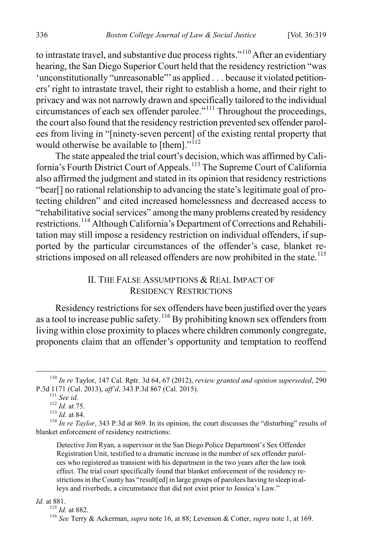to intrastate travel, and substantive due process rights."<sup>[110](#page-18-0)</sup> After an evidentiary hearing, the San Diego Superior Court held that the residency restriction "was 'unconstitutionally "unreasonable"' as applied . . . because it violated petitioners' right to intrastate travel, their right to establish a home, and their right to privacy and was not narrowly drawn and specifically tailored to the individual circumstances of each sex offender parolee."[111](#page-18-1) Throughout the proceedings, the court also found that the residency restriction prevented sex offender parolees from living in "[ninety-seven percent] of the existing rental property that would otherwise be available to [them]."<sup>[112](#page-18-2)</sup>

The state appealed the trial court's decision, which was affirmed by Cali-fornia's Fourth District Court of Appeals.<sup>[113](#page-18-3)</sup> The Supreme Court of California also affirmed the judgment and stated in its opinion that residency restrictions "bear[] no rational relationship to advancing the state's legitimate goal of protecting children" and cited increased homelessness and decreased access to "rehabilitative social services" among the many problems created by residency restrictions.[114](#page-18-4) Although California's Department of Corrections and Rehabilitation may still impose a residency restriction on individual offenders, if supported by the particular circumstances of the offender's case, blanket re-strictions imposed on all released offenders are now prohibited in the state.<sup>[115](#page-18-5)</sup>

# II. THE FALSE ASSUMPTIONS & REAL IMPACT OF RESIDENCY RESTRICTIONS

Residency restrictions for sex offenders have been justified over the years as a tool to increase public safety.<sup>[116](#page-18-6)</sup> By prohibiting known sex offenders from living within close proximity to places where children commonly congregate, proponents claim that an offender's opportunity and temptation to reoffend

Detective Jim Ryan, a supervisor in the San Diego Police Department's Sex Offender Registration Unit, testified to a dramatic increase in the number of sex offender parolees who registered as transient with his department in the two years after the law took effect. The trial court specifically found that blanket enforcement of the residency restrictions in the County has "result[ed] in large groups of parolees having to sleep in alleys and riverbeds, a circumstance that did not exist prior to Jessica's Law."

<span id="page-18-6"></span><span id="page-18-5"></span>

*Id.* at 881.

<span id="page-18-0"></span> <sup>110</sup> *In re* Taylor, 147 Cal. Rptr. 3d 64, 67 (2012), *review granted and opinion superseded*, 290

<span id="page-18-4"></span><span id="page-18-3"></span><span id="page-18-2"></span><span id="page-18-1"></span><sup>&</sup>lt;sup>111</sup> See id.<br><sup>112</sup> Id. at 75.<br><sup>113</sup> Id. at 84.<br><sup>114</sup> In re Taylor, 343 P.3d at 869. In its opinion, the court discusses the "disturbing" results of blanket enforcement of residency restrictions:

<sup>&</sup>lt;sup>116</sup> See Terry & Ackerman, *supra* note 16, at 88; Levenson & Cotter, *supra* note 1, at 169.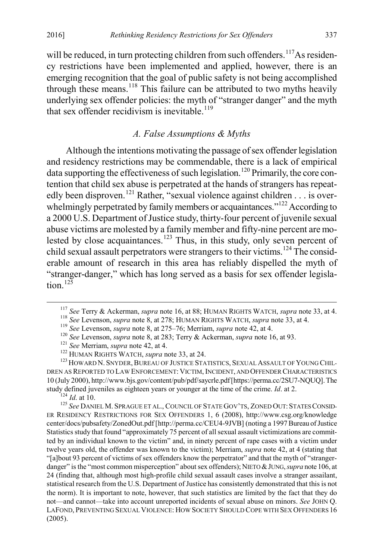will be reduced, in turn protecting children from such offenders.<sup>[117](#page-19-0)</sup>As residency restrictions have been implemented and applied, however, there is an emerging recognition that the goal of public safety is not being accomplished through these means.<sup>[118](#page-19-1)</sup> This failure can be attributed to two myths heavily underlying sex offender policies: the myth of "stranger danger" and the myth that sex offender recidivism is inevitable.<sup>[119](#page-19-2)</sup>

#### *A. False Assumptions & Myths*

Although the intentions motivating the passage of sex offender legislation and residency restrictions may be commendable, there is a lack of empirical data supporting the effectiveness of such legislation.<sup>[120](#page-19-3)</sup> Primarily, the core contention that child sex abuse is perpetrated at the hands of strangers has repeat-edly been disproven.<sup>[121](#page-19-4)</sup> Rather, "sexual violence against children . . . is over-whelmingly perpetrated by family members or acquaintances."<sup>[122](#page-19-5)</sup> According to a 2000 U.S. Department of Justice study, thirty-four percent of juvenile sexual abuse victims are molested by a family member and fifty-nine percent are mo-lested by close acquaintances.<sup>[123](#page-19-6)</sup> Thus, in this study, only seven percent of child sexual assault perpetrators were strangers to their victims.<sup>[124](#page-19-7)</sup> The considerable amount of research in this area has reliably dispelled the myth of "stranger-danger," which has long served as a basis for sex offender legislation  $12\overline{5}$ 

<span id="page-19-8"></span><span id="page-19-7"></span><sup>124</sup> Id. at 10.<br><sup>125</sup> *See* Daniel M. Sprague et al., Council of State Gov'ts, Zoned Out: States Consid-ER RESIDENCY RESTRICTIONS FOR SEX OFFENDERS 1, 6 (2008), http://www.csg.org/knowledge center/docs/pubsafety/ZonedOut.pdf [http://perma.cc/CEU4-9JVB] (noting a 1997 Bureau of Justice Statistics study that found "approximately 75 percent of all sexual assault victimizations are committed by an individual known to the victim" and, in ninety percent of rape cases with a victim under twelve years old, the offender was known to the victim); Merriam, *supra* note 42, at 4 (stating that "[a]bout 93 percent of victims of sex offenders know the perpetrator" and that the myth of "strangerdanger" is the "most common misperception" about sex offenders); NIETO & JUNG, *supra* note 106, at 24 (finding that, although most high-profile child sexual assault cases involve a stranger assailant, statistical research from the U.S. Department of Justice has consistently demonstrated that this is not the norm). It is important to note, however, that such statistics are limited by the fact that they do not—and cannot—take into account unreported incidents of sexual abuse on minors. *See* JOHN Q. LAFOND, PREVENTING SEXUAL VIOLENCE: HOW SOCIETY SHOULD COPE WITH SEX OFFENDERS 16 (2005).

<span id="page-19-1"></span><span id="page-19-0"></span><sup>&</sup>lt;sup>117</sup> See Terry & Ackerman, *supra* note 16, at 88; HUMAN RIGHTS WATCH, *supra* note 33, at 4.<br><sup>118</sup> See Levenson, *supra* note 8, at 278; HUMAN RIGHTS WATCH, *supra* note 33, at 4.<br><sup>119</sup> See Levenson, *supra* note 8, at 2

<span id="page-19-6"></span><span id="page-19-5"></span><span id="page-19-4"></span><span id="page-19-3"></span><span id="page-19-2"></span>DREN AS REPORTED TO LAW ENFORCEMENT: VICTIM,INCIDENT, AND OFFENDER CHARACTERISTICS 10 (July 2000), http://www.bjs.gov/content/pub/pdf/saycrle.pdf [https://perma.cc/2SU7-NQUQ]. The study defined juveniles as eighteen years or younger at the time of the crime. *Id.* at 2.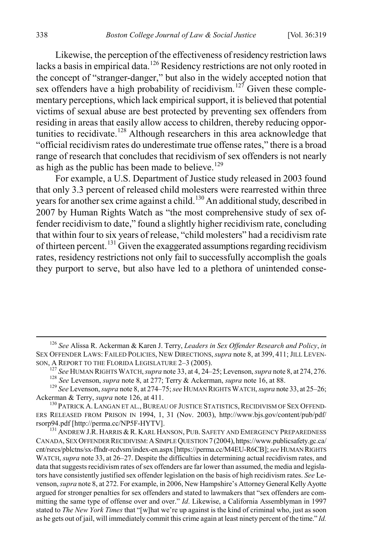Likewise, the perception of the effectiveness of residency restriction laws lacks a basis in empirical data.<sup>[126](#page-20-0)</sup> Residency restrictions are not only rooted in the concept of "stranger-danger," but also in the widely accepted notion that sex offenders have a high probability of recidivism.<sup>[127](#page-20-1)</sup> Given these complementary perceptions, which lack empirical support, it is believed that potential victims of sexual abuse are best protected by preventing sex offenders from residing in areas that easily allow access to children, thereby reducing oppor-tunities to recidivate.<sup>[128](#page-20-2)</sup> Although researchers in this area acknowledge that "official recidivism rates do underestimate true offense rates," there is a broad range of research that concludes that recidivism of sex offenders is not nearly as high as the public has been made to believe.<sup>[129](#page-20-3)</sup>

For example, a U.S. Department of Justice study released in 2003 found that only 3.3 percent of released child molesters were rearrested within three years for another sex crime against a child.<sup>[130](#page-20-4)</sup> An additional study, described in 2007 by Human Rights Watch as "the most comprehensive study of sex offender recidivism to date," found a slightly higher recidivism rate, concluding that within four to six years of release, "child molesters" had a recidivism rate of thirteen percent.<sup>[131](#page-20-5)</sup> Given the exaggerated assumptions regarding recidivism rates, residency restrictions not only fail to successfully accomplish the goals they purport to serve, but also have led to a plethora of unintended conse-

<span id="page-20-0"></span> <sup>126</sup> *See* Alissa R. Ackerman & Karen J. Terry, *Leaders in Sex Offender Research and Policy*, *in*  SEX OFFENDER LAWS: FAILED POLICIES, NEW DIRECTIONS,*supra* note 8, at 399, 411; JILL LEVEN-

<span id="page-20-1"></span>SON, A REPORT TO THE FLORIDA LEGISLATURE 2-3 (2005).<br><sup>127</sup> *See* HUMAN RIGHTS WATCH, *supra* note 33, at 4, 24–25; Levenson, *supra* note 8, at 274, 276.<br><sup>128</sup> *See* Levenson, *supra* note 8, at 277; Terry & Ackerman, *su* 

<span id="page-20-3"></span><span id="page-20-2"></span>Ackerman & Terry, *supra* note 126, at 411.<br><sup>130</sup> PATRICK A. LANGAN ET AL., BUREAU OF JUSTICE STATISTICS, RECIDIVISM OF SEX OFFEND-

<span id="page-20-4"></span>ERS RELEASED FROM PRISON IN 1994, 1, 31 (Nov. 2003), http://www.bjs.gov/content/pub/pdf/ rsorp94.pdf [http://perma.cc/NP5F-HYTV].<br><sup>131</sup> ANDREW J.R. HARRIS & R. KARL HANSON, PUB. SAFETY AND EMERGENCY PREPAREDNESS

<span id="page-20-5"></span>CANADA, SEX OFFENDER RECIDIVISM:ASIMPLE QUESTION 7 (2004), https://www.publicsafety.gc.ca/ cnt/rsrcs/pblctns/sx-ffndr-rcdvsm/index-en.aspx [https://perma.cc/M4EU-R6CB]; *see* HUMAN RIGHTS WATCH, *supra* note 33, at 26–27. Despite the difficulties in determining actual recidivism rates, and data that suggests recidivism rates of sex offenders are far lower than assumed, the media and legislators have consistently justified sex offender legislation on the basis of high recidivism rates. *See* Levenson, *supra* note 8, at 272. For example, in 2006, New Hampshire's Attorney General Kelly Ayotte argued for stronger penalties for sex offenders and stated to lawmakers that "sex offenders are committing the same type of offense over and over." *Id*. Likewise, a California Assemblyman in 1997 stated to *The New York Times* that "[w]hat we're up against is the kind of criminal who, just as soon as he gets out of jail, will immediately commit this crime again at least ninety percent of the time." *Id.*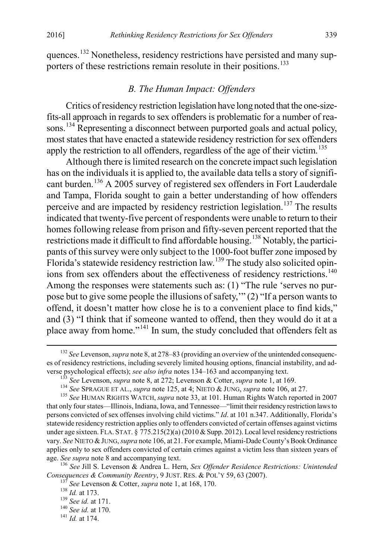quences.<sup>[132](#page-21-0)</sup> Nonetheless, residency restrictions have persisted and many sup-porters of these restrictions remain resolute in their positions.<sup>[133](#page-21-1)</sup>

#### *B. The Human Impact: Offenders*

Critics of residency restriction legislation have long noted that the one-sizefits-all approach in regards to sex offenders is problematic for a number of rea-sons.<sup>[134](#page-21-2)</sup> Representing a disconnect between purported goals and actual policy, most states that have enacted a statewide residency restriction for sex offenders apply the restriction to all offenders, regardless of the age of their victim.<sup>[135](#page-21-3)</sup>

Although there is limited research on the concrete impact such legislation has on the individuals it is applied to, the available data tells a story of signifi-cant burden.<sup>[136](#page-21-4)</sup> A 2005 survey of registered sex offenders in Fort Lauderdale and Tampa, Florida sought to gain a better understanding of how offenders perceive and are impacted by residency restriction legislation.<sup>[137](#page-21-5)</sup> The results indicated that twenty-five percent of respondents were unable to return to their homes following release from prison and fifty-seven percent reported that the restrictions made it difficult to find affordable housing.<sup>[138](#page-21-6)</sup> Notably, the participants of this survey were only subject to the 1000-foot buffer zone imposed by Florida's statewide residency restriction law.<sup>[139](#page-21-7)</sup> The study also solicited opin-ions from sex offenders about the effectiveness of residency restrictions.<sup>[140](#page-21-8)</sup> Among the responses were statements such as: (1) "The rule 'serves no purpose but to give some people the illusions of safety,'" (2) "If a person wants to offend, it doesn't matter how close he is to a convenient place to find kids," and (3) "I think that if someone wanted to offend, then they would do it at a place away from home."<sup>[141](#page-21-9)</sup> In sum, the study concluded that offenders felt as

<span id="page-21-0"></span> <sup>132</sup> *See* Levenson, *supra* note 8, at 278–83 (providing an overview of the unintended consequences of residency restrictions, including severely limited housing options, financial instability, and adverse psychological effects); see also infra notes 134–163 and accompanying text.<br>
<sup>133</sup> See Levenson, *supra* note 8, at 272; Levenson & Cotter, *supra* note 1, at 169.<br>
<sup>134</sup> See SPRAGUE ET AL., *supra* note 125, at 4; N

<span id="page-21-3"></span><span id="page-21-2"></span><span id="page-21-1"></span>that only four states—Illinois, Indiana, Iowa, and Tennessee—"limit their residency restriction laws to persons convicted of sex offenses involving child victims." *Id*. at 101 n.347. Additionally, Florida's statewide residency restriction applies only to offenders convicted of certain offenses against victims under age sixteen. FLA. STAT. § 775.215(2)(a) (2010 & Supp. 2012). Local level residency restrictions vary. *See* NIETO &JUNG, *supra* note 106, at 21. For example, Miami-Dade County's Book Ordinance applies only to sex offenders convicted of certain crimes against a victim less than sixteen years of

<span id="page-21-6"></span><span id="page-21-5"></span><span id="page-21-4"></span>age. *See supra* note 8 and accompanying text.<br><sup>136</sup> *See Jill S. Levenson & Andrea L. Hern, <i>Sex Offender Residence Restrictions: Unintended*<br>*Consequences & Community Reentry, 9 JUST. RES. & POL'Y 59, 63 (2007).* 

<sup>&</sup>lt;sup>137</sup> See Levenson & Cotter, *supra* note 1, at 168, 170.<br><sup>138</sup> Id. at 173.<br><sup>139</sup> See id. at 171.<br><sup>140</sup> See id. at 170.<br><sup>141</sup> Id. at 174.

<span id="page-21-8"></span><span id="page-21-7"></span>

<span id="page-21-9"></span>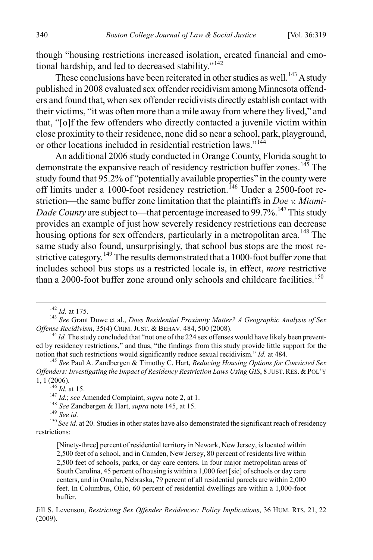though "housing restrictions increased isolation, created financial and emotional hardship, and led to decreased stability." $142$ 

These conclusions have been reiterated in other studies as well.<sup>[143](#page-22-1)</sup> A study published in 2008 evaluated sex offender recidivism among Minnesota offenders and found that, when sex offender recidivists directly establish contact with their victims, "it was often more than a mile away from where they lived," and that, "[o]f the few offenders who directly contacted a juvenile victim within close proximity to their residence, none did so near a school, park, playground, or other locations included in residential restriction laws."<sup>[144](#page-22-2)</sup>

An additional 2006 study conducted in Orange County, Florida sought to demonstrate the expansive reach of residency restriction buffer zones.<sup>[145](#page-22-3)</sup> The study found that 95.2% of "potentially available properties" in the county were off limits under a 1000-foot residency restriction.<sup>[146](#page-22-4)</sup> Under a 2500-foot restriction—the same buffer zone limitation that the plaintiffs in *Doe v. Miami-Dade County* are subject to—that percentage increased to 99.7%.<sup>[147](#page-22-5)</sup> This study provides an example of just how severely residency restrictions can decrease housing options for sex offenders, particularly in a metropolitan area.<sup>[148](#page-22-6)</sup> The same study also found, unsurprisingly, that school bus stops are the most re-strictive category.<sup>[149](#page-22-7)</sup> The results demonstrated that a 1000-foot buffer zone that includes school bus stops as a restricted locale is, in effect, *more* restrictive than a 2000-foot buffer zone around only schools and childcare facilities.<sup>[150](#page-22-8)</sup>

<span id="page-22-1"></span><span id="page-22-0"></span><sup>&</sup>lt;sup>142</sup> *Id.* at 175.<br><sup>143</sup> *See* Grant Duwe et al., *Does Residential Proximity Matter? A Geographic Analysis of Sex Offense Recidivism, 35(4) CRIM. JUST. & BEHAV. 484, 500 (2008).* 

<span id="page-22-2"></span> $^{144}$  *Id.* The study concluded that "not one of the 224 sex offenses would have likely been prevented by residency restrictions," and thus, "the findings from this study provide little support for the notion that such restrictions would significantly reduce sexual recidivism." *Id.* at 484.

<span id="page-22-3"></span><sup>&</sup>lt;sup>145</sup> See Paul A. Zandbergen & Timothy C. Hart, *Reducing Housing Options for Convicted Sex Offenders: Investigating the Impact of Residency Restriction Laws Using GIS*, 8 JUST.RES. &POL'Y 1, 1 (2006).<br> $\frac{146}{146}$  *Id.* at 15.

<span id="page-22-8"></span><span id="page-22-7"></span><span id="page-22-6"></span><span id="page-22-5"></span><span id="page-22-4"></span><sup>&</sup>lt;sup>147</sup> *Id.*; see Amended Complaint, *supra* note 2, at 1.<br><sup>148</sup> *See Zandbergen & Hart, supra* note 145, at 15.<br><sup>149</sup> *See id.* at 20. Studies in other states have also demonstrated the significant reach of residency <sup>150</sup> restrictions:

<sup>[</sup>Ninety-three] percent of residential territory in Newark, New Jersey, is located within 2,500 feet of a school, and in Camden, New Jersey, 80 percent of residents live within 2,500 feet of schools, parks, or day care centers. In four major metropolitan areas of South Carolina, 45 percent of housing is within a 1,000 feet [sic] of schools or day care centers, and in Omaha, Nebraska, 79 percent of all residential parcels are within 2,000 feet. In Columbus, Ohio, 60 percent of residential dwellings are within a 1,000-foot buffer.

Jill S. Levenson, *Restricting Sex Offender Residences: Policy Implications*, 36 HUM. RTS. 21, 22 (2009).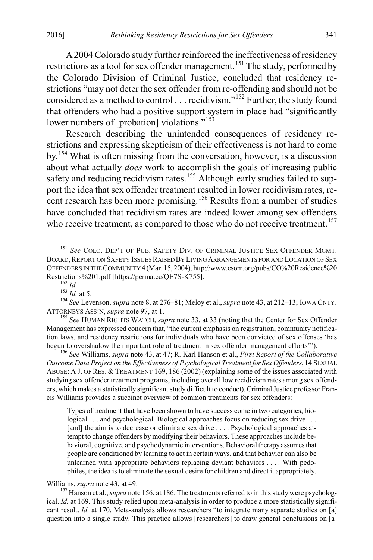A 2004 Colorado study further reinforced the ineffectiveness of residency restrictions as a tool for sex offender management.<sup>[151](#page-23-0)</sup> The study, performed by the Colorado Division of Criminal Justice, concluded that residency restrictions "may not deter the sex offender from re-offending and should not be considered as a method to control . . . recidivism."[152](#page-23-1) Further, the study found that offenders who had a positive support system in place had "significantly lower numbers of [probation] violations."<sup>[153](#page-23-2)</sup>

Research describing the unintended consequences of residency restrictions and expressing skepticism of their effectiveness is not hard to come by.[154](#page-23-3) What is often missing from the conversation, however, is a discussion about what actually *does* work to accomplish the goals of increasing public safety and reducing recidivism rates.<sup>155</sup> Although early studies failed to support the idea that sex offender treatment resulted in lower recidivism rates, re-cent research has been more promising.<sup>[156](#page-23-5)</sup> Results from a number of studies have concluded that recidivism rates are indeed lower among sex offenders who receive treatment, as compared to those who do not receive treatment.<sup>[157](#page-23-6)</sup>

<span id="page-23-2"></span><span id="page-23-1"></span>Restrictions%201.pdf [https://perma.cc/QE7S-K755].<br><sup>152</sup> *Id.* <sup>153</sup> *Id.* at 5. <sup>154</sup> *See* Levenson, *supra* note 8, at 276–81; Meloy et al., *supra* note 43, at 212–13; IOWA CNTY.<br>ATTORNEYS ASS'N, *supra* note 97, at 1.

<span id="page-23-4"></span><span id="page-23-3"></span><sup>155</sup> See HUMAN RIGHTS WATCH, *supra* note 33, at 33 (noting that the Center for Sex Offender Management has expressed concern that, "the current emphasis on registration, community notification laws, and residency restrictions for individuals who have been convicted of sex offenses 'has begun to overshadow the important role of treatment in sex offender management efforts'"). <sup>156</sup> *See* Williams, *supra* note 43, at 47; R. Karl Hanson et al., *First Report of the Collaborative* 

<span id="page-23-5"></span>*Outcome Data Project on the Effectiveness of Psychological Treatment for Sex Offenders*, 14 SEXUAL ABUSE: A J. OF RES. & TREATMENT 169, 186 (2002) (explaining some of the issues associated with studying sex offender treatment programs, including overall low recidivism rates among sex offenders, which makes a statistically significant study difficult to conduct). Criminal Justice professor Francis Williams provides a succinct overview of common treatments for sex offenders:

Types of treatment that have been shown to have success come in two categories, biological . . . and psychological. Biological approaches focus on reducing sex drive . . . [and] the aim is to decrease or eliminate sex drive . . . . Psychological approaches attempt to change offenders by modifying their behaviors. These approaches include behavioral, cognitive, and psychodynamic interventions. Behavioral therapy assumes that people are conditioned by learning to act in certain ways, and that behavior can also be unlearned with appropriate behaviors replacing deviant behaviors . . . . With pedophiles, the idea is to eliminate the sexual desire for children and direct it appropriately.

<span id="page-23-6"></span>Williams, *supra* note 43, at 49.<br><sup>157</sup> Hanson et al., *supra* note 156, at 186. The treatments referred to in this study were psychological. *Id.* at 169. This study relied upon meta-analysis in order to produce a more statistically significant result. *Id.* at 170. Meta-analysis allows researchers "to integrate many separate studies on [a] question into a single study. This practice allows [researchers] to draw general conclusions on [a]

<span id="page-23-0"></span> <sup>151</sup> *See* COLO. DEP'T OF PUB. SAFETY DIV. OF CRIMINAL JUSTICE SEX OFFENDER MGMT. BOARD, REPORT ON SAFETY ISSUES RAISED BY LIVING ARRANGEMENTS FOR AND LOCATION OF SEX OFFENDERS IN THE COMMUNITY 4 (Mar. 15, 2004), http://www.csom.org/pubs/CO%20Residence%20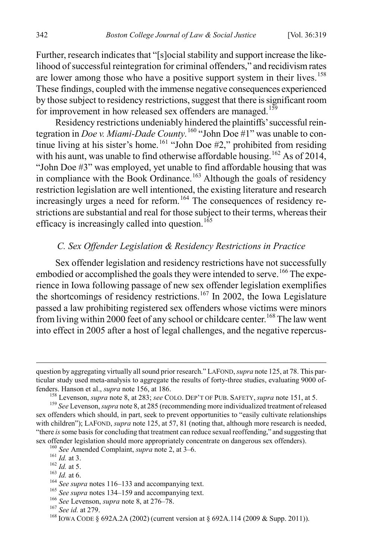Further, research indicates that "[s]ocial stability and support increase the likelihood of successful reintegration for criminal offenders," and recidivism rates are lower among those who have a positive support system in their lives.<sup>[158](#page-24-0)</sup> These findings, coupled with the immense negative consequences experienced by those subject to residency restrictions, suggest that there is significant room for improvement in how released sex offenders are managed.<sup>[159](#page-24-1)</sup>

Residency restrictions undeniably hindered the plaintiffs' successful reintegration in *Doe v. Miami-Dade County.* [160](#page-24-2) "John Doe #1" was unable to continue living at his sister's home.<sup>161</sup> "John Doe  $#2$ ," prohibited from residing with his aunt, was unable to find otherwise affordable housing.<sup>[162](#page-24-4)</sup> As of 2014, "John Doe #3" was employed, yet unable to find affordable housing that was in compliance with the Book Ordinance.<sup>[163](#page-24-5)</sup> Although the goals of residency restriction legislation are well intentioned, the existing literature and research increasingly urges a need for reform.<sup>[164](#page-24-6)</sup> The consequences of residency restrictions are substantial and real for those subject to their terms, whereas their efficacy is increasingly called into question.<sup>[165](#page-24-7)</sup>

#### *C. Sex Offender Legislation & Residency Restrictions in Practice*

Sex offender legislation and residency restrictions have not successfully embodied or accomplished the goals they were intended to serve.<sup>[166](#page-24-8)</sup> The experience in Iowa following passage of new sex offender legislation exemplifies the shortcomings of residency restrictions.<sup>[167](#page-24-9)</sup> In 2002, the Iowa Legislature passed a law prohibiting registered sex offenders whose victims were minors from living within 2000 feet of any school or childcare center.<sup>[168](#page-24-10)</sup> The law went into effect in 2005 after a host of legal challenges, and the negative repercus-

question by aggregating virtually all sound prior research." LAFOND, *supra* note 125, at 78. This particular study used meta-analysis to aggregate the results of forty-three studies, evaluating 9000 of-<br>fenders. Hanson et al., *supra* note 156, at 186.

<span id="page-24-1"></span><span id="page-24-0"></span><sup>&</sup>lt;sup>158</sup> Levenson, *supra* note 8, at 283; *see* COLO. DEP'T OF PUB. SAFETY, *supra* note 151, at 5.<br><sup>159</sup> See Levenson, *supra* note 8, at 285 (recommending more individualized treatment of released sex offenders which should, in part, seek to prevent opportunities to "easily cultivate relationships with children"); LAFOND, *supra* note 125, at 57, 81 (noting that, although more research is needed, "there *is* some basis for concluding that treatment can reduce sexual reoffending," and suggesting that sex offender legislation should more appropriately concentrate on dangerous sex offenders).

<span id="page-24-4"></span>

<span id="page-24-5"></span>

<span id="page-24-6"></span>

<span id="page-24-7"></span>

<span id="page-24-9"></span><span id="page-24-8"></span>

<span id="page-24-10"></span>

<span id="page-24-3"></span><span id="page-24-2"></span><sup>&</sup>lt;sup>160</sup> See Amended Complaint, *supra* note 2, at 3–6.<br><sup>161</sup> *Id.* at 3.<br><sup>162</sup> *Id.* at 5.<br><sup>163</sup> *Id.* at 6.<br><sup>164</sup> See supra notes 116–133 and accompanying text.<br><sup>165</sup> See supra notes 134–159 and accompanying text.<br><sup>165</sup> Se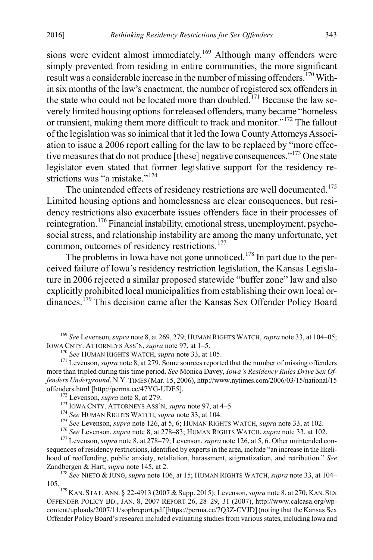sions were evident almost immediately.<sup>169</sup> Although many offenders were simply prevented from residing in entire communities, the more significant result was a considerable increase in the number of missing offenders.<sup>[170](#page-25-1)</sup> Within six months of the law's enactment, the number of registered sex offenders in the state who could not be located more than doubled.<sup>[171](#page-25-2)</sup> Because the law severely limited housing options for released offenders, many became "homeless or transient, making them more difficult to track and monitor."[172](#page-25-3) The fallout of the legislation was so inimical that it led the Iowa County Attorneys Association to issue a 2006 report calling for the law to be replaced by "more effec-tive measures that do not produce [these] negative consequences."<sup>[173](#page-25-4)</sup> One state legislator even stated that former legislative support for the residency re-strictions was "a mistake"<sup>[174](#page-25-5)</sup>

The unintended effects of residency restrictions are well documented.<sup>[175](#page-25-6)</sup> Limited housing options and homelessness are clear consequences, but residency restrictions also exacerbate issues offenders face in their processes of reintegration.<sup>[176](#page-25-7)</sup> Financial instability, emotional stress, unemployment, psychosocial stress, and relationship instability are among the many unfortunate, yet common, outcomes of residency restrictions.<sup>[177](#page-25-8)</sup>

The problems in Iowa have not gone unnoticed.<sup>[178](#page-25-9)</sup> In part due to the perceived failure of Iowa's residency restriction legislation, the Kansas Legislature in 2006 rejected a similar proposed statewide "buffer zone" law and also explicitly prohibited local municipalities from establishing their own local ordinances.[179](#page-25-10) This decision came after the Kansas Sex Offender Policy Board

<span id="page-25-8"></span><span id="page-25-7"></span><span id="page-25-6"></span><span id="page-25-5"></span><span id="page-25-4"></span>sequences of residency restrictions, identified by experts in the area, include "an increase in the likelihood of reoffending, public anxiety, retaliation, harassment, stigmatization, and retribution." *See* 

<span id="page-25-0"></span><sup>&</sup>lt;sup>169</sup> *See* Levenson, *supra* note 8, at 269, 279; HUMAN RIGHTS WATCH, *supra* note 33, at 104–05; IOWA CNTY. ATTORNEYS ASS'N, *supra* note 97, at 1–5.

<span id="page-25-2"></span><span id="page-25-1"></span><sup>&</sup>lt;sup>170</sup> *See* HUMAN RIGHTS WATCH, *supra* note 33, at 105. <sup>171</sup> Levenson, *supra* note 8, at 279. Some sources reported that the number of missing offenders more than tripled during this time period. *See* Monica Davey, *Iowa's Residency Rules Drive Sex Offenders Underground*, N.Y. TIMES (Mar. 15, 2006), http://www.nytimes.com/2006/03/15/national/15

<span id="page-25-3"></span><sup>&</sup>lt;sup>172</sup> Levenson, *supra* note 8, at 279.<br><sup>173</sup> IOWA CNTY. ATTORNEYS ASS'N, *supra* note 97, at 4–5.<br><sup>174</sup> See HUMAN RIGHTS WATCH, *supra* note 33, at 104.<br><sup>175</sup> See Levenson, *supra* note 126, at 5, 6; HUMAN RIGHTS WATCH,

<span id="page-25-9"></span><sup>&</sup>lt;sup>178</sup> *See* NIETO & JUNG, *supra* note 106, at 15; HUMAN RIGHTS WATCH, *supra* note 33, at 104–105.

<span id="page-25-10"></span><sup>&</sup>lt;sup>179</sup> KAN. STAT. ANN. § 22-4913 (2007 & Supp. 2015); Levenson, *supra* note 8, at 270; KAN. SEX OFFENDER POLICY BD., JAN. 8, 2007 REPORT 26, 28–29, 31 (2007), http://www.calcasa.org/wpcontent/uploads/2007/11/sopbreport.pdf[https://perma.cc/7Q3Z-CVJD](noting that the Kansas Sex Offender Policy Board's research included evaluating studies from various states, including Iowa and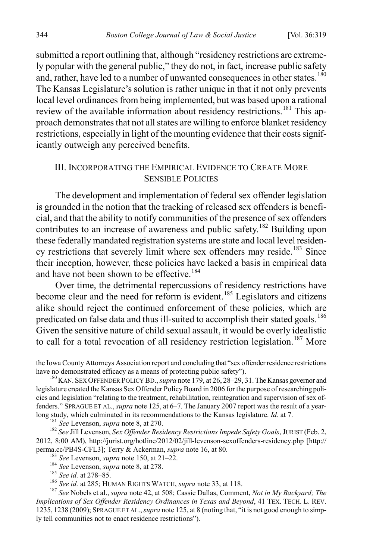submitted a report outlining that, although "residency restrictions are extremely popular with the general public," they do not, in fact, increase public safety and, rather, have led to a number of unwanted consequences in other states.<sup>[180](#page-26-0)</sup> The Kansas Legislature's solution is rather unique in that it not only prevents local level ordinances from being implemented, but was based upon a rational review of the available information about residency restrictions.<sup>[181](#page-26-1)</sup> This approach demonstrates that not all states are willing to enforce blanket residency restrictions, especially in light of the mounting evidence that their costs significantly outweigh any perceived benefits.

## III. INCORPORATING THE EMPIRICAL EVIDENCE TO CREATE MORE SENSIBLE POLICIES

The development and implementation of federal sex offender legislation is grounded in the notion that the tracking of released sex offenders is beneficial, and that the ability to notify communities of the presence of sex offenders contributes to an increase of awareness and public safety.<sup>[182](#page-26-2)</sup> Building upon these federally mandated registration systems are state and local level residen-cy restrictions that severely limit where sex offenders may reside.<sup>[183](#page-26-3)</sup> Since their inception, however, these policies have lacked a basis in empirical data and have not been shown to be effective.<sup>[184](#page-26-4)</sup>

Over time, the detrimental repercussions of residency restrictions have become clear and the need for reform is evident.<sup>[185](#page-26-5)</sup> Legislators and citizens alike should reject the continued enforcement of these policies, which are predicated on false data and thus ill-suited to accomplish their stated goals.<sup>[186](#page-26-6)</sup> Given the sensitive nature of child sexual assault, it would be overly idealistic to call for a total revocation of all residency restriction legislation.<sup>187</sup> More

the Iowa County Attorneys Association report and concluding that "sex offender residence restrictions have no demonstrated efficacy as a means of protecting public safety").

<span id="page-26-0"></span><sup>&</sup>lt;sup>180</sup> KAN. SEX OFFENDER POLICY BD., *supra* note 179, at 26, 28–29, 31. The Kansas governor and legislature created the Kansas Sex Offender Policy Board in 2006 for the purpose of researching policies and legislation "relating to the treatment, rehabilitation, reintegration and supervision of sex offenders." SPRAGUE ET AL., *supra* note 125, at 6–7. The January 2007 report was the result of a yearlong study, which culminated in its recommendations to the Kansas legislature. *Id.* at 7.<br><sup>181</sup> See Levenson, *supra* note 8, at 270.<br><sup>182</sup> See Jill Levenson, *Sex Offender Residency Restrictions Impede Safety Goals*, JUR

<span id="page-26-2"></span><span id="page-26-1"></span><sup>2012, 8:00</sup> AM), http://jurist.org/hotline/2012/02/jill-levenson-sexoffenders-residency.php [http://<br>perma.cc/PB4S-CFL3]; Terry & Ackerman, *supra* note 16, at 80.

<span id="page-26-7"></span><span id="page-26-6"></span><span id="page-26-5"></span><span id="page-26-4"></span><span id="page-26-3"></span><sup>&</sup>lt;sup>183</sup> See Levenson, *supra* note 150, at 21–22.<br><sup>184</sup> See Levenson, *supra* note 8, at 278.<br><sup>185</sup> See id. at 278–85.<br><sup>186</sup> See id. at 285; HUMAN RIGHTS WATCH, *supra* note 33, at 118.<br><sup>187</sup> See Nobels et al., *supra* note *Implications of Sex Offender Residency Ordinances in Texas and Beyond*, 41 TEX. TECH. L. REV. 1235, 1238 (2009); SPRAGUE ET AL., *supra* note 125, at 8 (noting that, "it is not good enough to simply tell communities not to enact residence restrictions").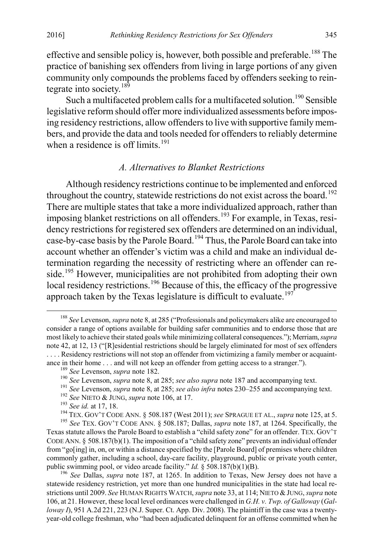effective and sensible policy is, however, both possible and preferable.<sup>188</sup> The practice of banishing sex offenders from living in large portions of any given community only compounds the problems faced by offenders seeking to rein-tegrate into society.<sup>[189](#page-27-1)</sup>

Such a multifaceted problem calls for a multifaceted solution.<sup>[190](#page-27-2)</sup> Sensible legislative reform should offer more individualized assessments before imposing residency restrictions, allow offenders to live with supportive family members, and provide the data and tools needed for offenders to reliably determine when a residence is off limits.<sup>[191](#page-27-3)</sup>

# *A. Alternatives to Blanket Restrictions*

Although residency restrictions continue to be implemented and enforced throughout the country, statewide restrictions do not exist across the board.<sup>[192](#page-27-4)</sup> There are multiple states that take a more individualized approach, rather than imposing blanket restrictions on all offenders.<sup>[193](#page-27-5)</sup> For example, in Texas, residency restrictions for registered sex offenders are determined on an individual, case-by-case basis by the Parole Board.[194](#page-27-6) Thus, the Parole Board can take into account whether an offender's victim was a child and make an individual determination regarding the necessity of restricting where an offender can re-side.<sup>[195](#page-27-7)</sup> However, municipalities are not prohibited from adopting their own local residency restrictions.<sup>[196](#page-27-8)</sup> Because of this, the efficacy of the progressive approach taken by the Texas legislature is difficult to evaluate.<sup>[197](#page-27-9)</sup>

<span id="page-27-8"></span><sup>196</sup> See Dallas, *supra* note 187, at 1265. In addition to Texas, New Jersey does not have a statewide residency restriction, yet more than one hundred municipalities in the state had local restrictions until 2009. *See* HUMAN RIGHTS WATCH, *supra* note 33, at 114; NIETO & JUNG, *supra* note 106, at 21. However, these local level ordinances were challenged in *G.H. v. Twp. of Galloway* (*Galloway I*), 951 A.2d 221, 223 (N.J. Super. Ct. App. Div. 2008). The plaintiff in the case was a twentyyear-old college freshman, who "had been adjudicated delinquent for an offense committed when he

<span id="page-27-9"></span><span id="page-27-0"></span> <sup>188</sup> *See* Levenson, *supra* note 8, at 285 ("Professionals and policymakers alike are encouraged to consider a range of options available for building safer communities and to endorse those that are most likely to achieve their stated goals while minimizing collateral consequences."); Merriam, *supra* note 42, at 12, 13 ("[R]esidential restrictions should be largely eliminated for most of sex offenders . . . . Residency restrictions will not stop an offender from victimizing a family member or acquaintance in their home ... and will not keep an offender from getting access to a stranger.").<br>
<sup>189</sup> *See* Levenson, *supra* note 182.<br>
<sup>190</sup> *See* Levenson, *supra* note 8, at 285; *see also supra* note 187 and accompanying

<span id="page-27-2"></span><span id="page-27-1"></span>

<span id="page-27-7"></span><span id="page-27-6"></span><span id="page-27-5"></span><span id="page-27-4"></span><span id="page-27-3"></span>Texas statute allows the Parole Board to establish a "child safety zone" for an offender. TEX. GOV'T CODE ANN. § 508.187(b)(1). The imposition of a "child safety zone" prevents an individual offender from "go[ing] in, on, or within a distance specified by the [Parole Board] of premises where children commonly gather, including a school, day-care facility, playground, public or private youth center, public swimming pool, or video arcade facility."  $Id.$  § 508.187(b)(1)(B).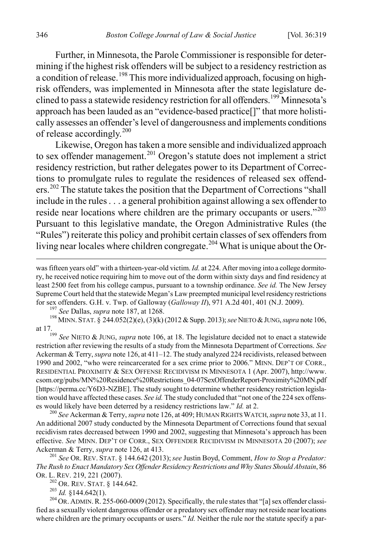Further, in Minnesota, the Parole Commissioner is responsible for determining if the highest risk offenders will be subject to a residency restriction as a condition of release.<sup>[198](#page-28-0)</sup> This more individualized approach, focusing on highrisk offenders, was implemented in Minnesota after the state legislature de-clined to pass a statewide residency restriction for all offenders.<sup>[199](#page-28-1)</sup> Minnesota's approach has been lauded as an "evidence-based practice[]" that more holistically assesses an offender's level of dangerousness and implements conditions of release accordingly.<sup>[200](#page-28-2)</sup>

Likewise, Oregon has taken a more sensible and individualized approach to sex offender management.<sup>[201](#page-28-3)</sup> Oregon's statute does not implement a strict residency restriction, but rather delegates power to its Department of Corrections to promulgate rules to regulate the residences of released sex offend-ers.<sup>[202](#page-28-4)</sup> The statute takes the position that the Department of Corrections "shall include in the rules . . . a general prohibition against allowing a sex offender to reside near locations where children are the primary occupants or users."<sup>[203](#page-28-5)</sup> Pursuant to this legislative mandate, the Oregon Administrative Rules (the "Rules") reiterate this policy and prohibit certain classes of sex offenders from living near locales where children congregate.<sup>[204](#page-28-6)</sup> What is unique about the Or-

<span id="page-28-0"></span>at 17.199 *See* NIETO & JUNG, *supra* note 106, at 18. The legislature decided not to enact a statewide

<span id="page-28-1"></span>restriction after reviewing the results of a study from the Minnesota Department of Corrections. *See*  Ackerman & Terry, *supra* note 126, at 411–12. The study analyzed 224 recidivists, released between 1990 and 2002, "who were reincarcerated for a sex crime prior to 2006." MINN. DEP'T OF CORR., RESIDENTIAL PROXIMITY & SEX OFFENSE RECIDIVISM IN MINNESOTA 1 (Apr. 2007), http://www. csom.org/pubs/MN%20Residence%20Restrictions\_04-07SexOffenderReport-Proximity%20MN.pdf [https://perma.cc/Y6D3-NZBE]. The study sought to determine whether residency restriction legislation would have affected these cases. *See id.* The study concluded that "not one of the 224 sex offenses would likely have been deterred by a residency restrictions law." *Id.* at 2.<br><sup>200</sup> *See* Ackerman & Terry, *supra* note 126, at 409; HUMAN RIGHTS WATCH, *supra* note 33, at 11.

<span id="page-28-2"></span>An additional 2007 study conducted by the Minnesota Department of Corrections found that sexual recidivism rates decreased between 1990 and 2002, suggesting that Minnesota's approach has been effective. *See* MINN. DEP'T OF CORR., SEX OFFENDER RECIDIVISM IN MINNESOTA 20 (2007); *see* 

<span id="page-28-3"></span>Ackerman & Terry, *supra* note 126, at 413.<br><sup>201</sup> *See* OR. REV. STAT. § 144.642 (2013); *see Justin Boyd, Comment, How to Stop a Predator: The Rush to Enact Mandatory Sex Offender Residency Restrictions and Why States Should Abstain, 86*<br>OR. L. REV. 219, 221 (2007).

<span id="page-28-6"></span><span id="page-28-5"></span><span id="page-28-4"></span><sup>202</sup> OR. REV. STAT. § 144.642.<br><sup>203</sup> *Id.* §144.642(1).<br><sup>204</sup> OR. ADMIN. R. 255-060-0009 (2012). Specifically, the rule states that "[a] sex offender classified as a sexually violent dangerous offender or a predatory sex offender may not reside near locations where children are the primary occupants or users." *Id.* Neither the rule nor the statute specify a par-

was fifteen years old" with a thirteen-year-old victim. *Id.* at 224. After moving into a college dormitory, he received notice requiring him to move out of the dorm within sixty days and find residency at least 2500 feet from his college campus, pursuant to a township ordinance. *See id.* The New Jersey Supreme Court held that the statewide Megan's Law preempted municipal level residency restrictions for sex offenders. G.H. v. Twp. of Galloway (Galloway II), 971 A.2d 401, 401 (N.J. 2009).<br><sup>197</sup> See Dallas, *supra* note 187, at 1268.<br><sup>198</sup> MINN. STAT. § 244.052(2)(e), (3)(k) (2012 & Supp. 2013); *see* NIETO & JUNG, *su*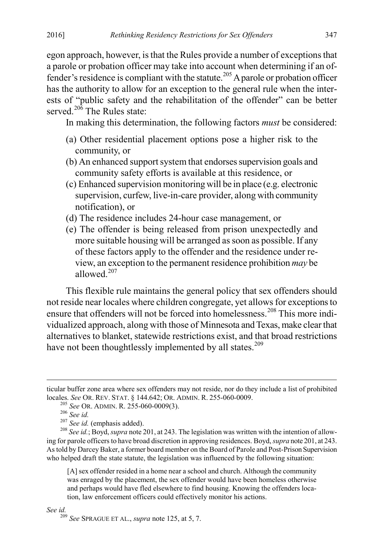egon approach, however, is that the Rules provide a number of exceptions that a parole or probation officer may take into account when determining if an of-fender's residence is compliant with the statute.<sup>[205](#page-29-0)</sup> A parole or probation officer has the authority to allow for an exception to the general rule when the interests of "public safety and the rehabilitation of the offender" can be better served.<sup>[206](#page-29-1)</sup> The Rules state:

In making this determination, the following factors *must* be considered:

- (a) Other residential placement options pose a higher risk to the community, or
- (b) An enhanced support system that endorses supervision goals and community safety efforts is available at this residence, or
- (c) Enhanced supervision monitoring will be in place (e.g. electronic supervision, curfew, live-in-care provider, along with community notification), or
- (d) The residence includes 24-hour case management, or
- (e) The offender is being released from prison unexpectedly and more suitable housing will be arranged as soon as possible. If any of these factors apply to the offender and the residence under review, an exception to the permanent residence prohibition *may* be allowed. $207$

This flexible rule maintains the general policy that sex offenders should not reside near locales where children congregate, yet allows for exceptions to ensure that offenders will not be forced into homelessness.<sup>[208](#page-29-3)</sup> This more individualized approach, along with those of Minnesota and Texas, make clear that alternatives to blanket, statewide restrictions exist, and that broad restrictions have not been thoughtlessly implemented by all states.<sup>[209](#page-29-4)</sup>

[A] sex offender resided in a home near a school and church. Although the community was enraged by the placement, the sex offender would have been homeless otherwise and perhaps would have fled elsewhere to find housing. Knowing the offenders location, law enforcement officers could effectively monitor his actions.

<span id="page-29-4"></span>

<span id="page-29-0"></span>ticular buffer zone area where sex offenders may not reside, nor do they include a list of prohibited locales. See OR. REV. STAT. § 144.642; OR. ADMIN. R. 255-060-0009.<br>
<sup>205</sup> See OR. ADMIN. R. 255-060-0009(3).<br>
<sup>206</sup> See id. (emphasis added).<br>
<sup>207</sup> See id. (emphasis added).<br>
<sup>208</sup> See id.; Boyd, *supra* note 201, at 243

<span id="page-29-3"></span><span id="page-29-2"></span><span id="page-29-1"></span>ing for parole officers to have broad discretion in approving residences. Boyd, *supra* note 201, at 243. As told by Darcey Baker, a former board member on the Board of Parole and Post-Prison Supervision who helped draft the state statute, the legislation was influenced by the following situation:

*See id.* <sup>209</sup> *See* SPRAGUE ET AL., *supra* note 125, at 5, 7.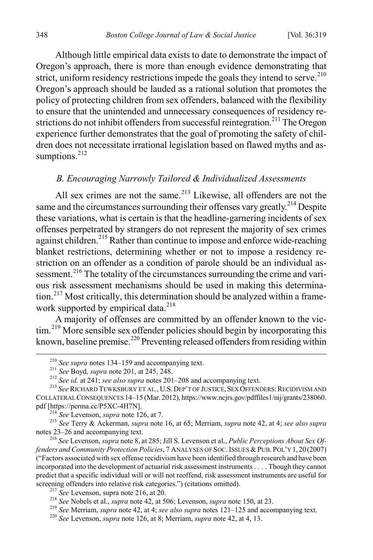Although little empirical data exists to date to demonstrate the impact of Oregon's approach, there is more than enough evidence demonstrating that strict, uniform residency restrictions impede the goals they intend to serve.<sup>[210](#page-30-0)</sup> Oregon's approach should be lauded as a rational solution that promotes the policy of protecting children from sex offenders, balanced with the flexibility to ensure that the unintended and unnecessary consequences of residency re-strictions do not inhibit offenders from successful reintegration.<sup>[211](#page-30-1)</sup> The Oregon experience further demonstrates that the goal of promoting the safety of children does not necessitate irrational legislation based on flawed myths and as-sumptions.<sup>[212](#page-30-2)</sup>

#### *B. Encouraging Narrowly Tailored & Individualized Assessments*

All sex crimes are not the same.<sup>[213](#page-30-3)</sup> Likewise, all offenders are not the same and the circumstances surrounding their offenses vary greatly.<sup>[214](#page-30-4)</sup> Despite these variations, what is certain is that the headline-garnering incidents of sex offenses perpetrated by strangers do not represent the majority of sex crimes against children.<sup>[215](#page-30-5)</sup> Rather than continue to impose and enforce wide-reaching blanket restrictions, determining whether or not to impose a residency restriction on an offender as a condition of parole should be an individual as-sessment.<sup>[216](#page-30-6)</sup> The totality of the circumstances surrounding the crime and various risk assessment mechanisms should be used in making this determina-tion.<sup>[217](#page-30-7)</sup> Most critically, this determination should be analyzed within a frame-work supported by empirical data.<sup>[218](#page-30-8)</sup>

A majority of offenses are committed by an offender known to the vic-tim.<sup>[219](#page-30-9)</sup> More sensible sex offender policies should begin by incorporating this known, baseline premise.<sup>[220](#page-30-10)</sup> Preventing released offenders from residing within

<span id="page-30-5"></span><span id="page-30-4"></span><span id="page-30-3"></span><sup>214</sup> *See* Levenson, *supra* note 126, at 7.<br><sup>215</sup> *See* Terry & Ackerman, *supra* note 16, at 65; Merriam, *supra* note 42, at 4; *see also supra* notes 23–26 and accompanying text.

<span id="page-30-6"></span><sup>216</sup> See Levenson, *supra* note 8, at 285; Jill S. Levenson et al., *Public Perceptions About Sex Offenders and Community Protection Policies*, 7 ANALYSES OF SOC. ISSUES & PUB. POL'Y 1, 20 (2007) ("Factors associated with sex offense recidivism have been identified through research and have been incorporated into the development of actuarial risk assessment instruments . . . . Though they cannot predict that a specific individual will or will not reoffend, risk assessment instruments are useful for screening offenders into relative risk categories.") (citations omitted).<br>
<sup>217</sup> See Levenson, supra note 216, at 20.<br>
<sup>218</sup> See Nobels et al., *supra* note 42, at 506; Levenson, *supra* note 150, at 23.<br>
<sup>219</sup> See Merria

<span id="page-30-2"></span><span id="page-30-1"></span><span id="page-30-0"></span><sup>&</sup>lt;sup>210</sup> See supra notes 134–159 and accompanying text.<br><sup>211</sup> See Boyd, *supra* note 201, at 245, 248.<br><sup>212</sup> See id. at 241; *see also supra* notes 201–208 and accompanying text.<br><sup>213</sup> See RICHARD TEWKSBURY ET AL., U.S. DEP' COLLATERAL CONSEQUENCES 14–15 (Mar. 2012), https://www.ncjrs.gov/pdffiles1/nij/grants/238060.

<span id="page-30-7"></span>

<span id="page-30-10"></span><span id="page-30-9"></span><span id="page-30-8"></span>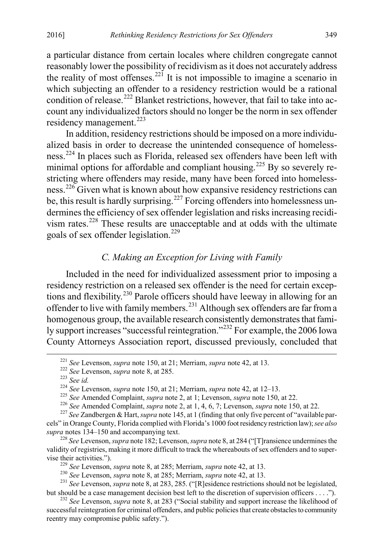a particular distance from certain locales where children congregate cannot reasonably lower the possibility of recidivism as it does not accurately address the reality of most offenses.<sup>[221](#page-31-0)</sup> It is not impossible to imagine a scenario in which subjecting an offender to a residency restriction would be a rational condition of release.<sup>222</sup> Blanket restrictions, however, that fail to take into account any individualized factors should no longer be the norm in sex offender residency management.<sup>[223](#page-31-2)</sup>

In addition, residency restrictions should be imposed on a more individualized basis in order to decrease the unintended consequence of homelessness.[224](#page-31-3) In places such as Florida, released sex offenders have been left with minimal options for affordable and compliant housing.<sup>[225](#page-31-4)</sup> By so severely restricting where offenders may reside, many have been forced into homeless-ness.<sup>[226](#page-31-5)</sup> Given what is known about how expansive residency restrictions can be, this result is hardly surprising.<sup>[227](#page-31-6)</sup> Forcing offenders into homelessness undermines the efficiency of sex offender legislation and risks increasing recidivism rates.[228](#page-31-7) These results are unacceptable and at odds with the ultimate goals of sex offender legislation. [229](#page-31-8)

# *C. Making an Exception for Living with Family*

Included in the need for individualized assessment prior to imposing a residency restriction on a released sex offender is the need for certain exceptions and flexibility.[230](#page-31-9) Parole officers should have leeway in allowing for an offender to live with family members.<sup>231</sup> Although sex offenders are far from a homogenous group, the available research consistently demonstrates that fami-ly support increases "successful reintegration."<sup>[232](#page-31-11)</sup> For example, the 2006 Iowa County Attorneys Association report, discussed previously, concluded that

<span id="page-31-1"></span><span id="page-31-0"></span><sup>&</sup>lt;sup>221</sup> See Levenson, *supra* note 150, at 21; Merriam, *supra* note 42, at 13.<br><sup>222</sup> See Levenson, *supra* note 8, at 285.<br><sup>223</sup> See id.<br><sup>224</sup> See Levenson, *supra* note 150, at 21; Merriam, *supra* note 42, at 12–13.<br><sup>225</sup>

<span id="page-31-6"></span><span id="page-31-5"></span><span id="page-31-4"></span><span id="page-31-3"></span><span id="page-31-2"></span>cels" in Orange County, Florida complied with Florida's 1000 foot residency restriction law); *see also* 

<span id="page-31-7"></span><sup>&</sup>lt;sup>228</sup> See Levenson, *supra* note 182; Levenson, *supra* note 8, at 284 ("[T] ransience undermines the validity of registries, making it more difficult to track the whereabouts of sex offenders and to super-

<span id="page-31-9"></span><span id="page-31-8"></span>vise their activities.").<br>
<sup>229</sup> See Levenson, *supra* note 8, at 285; Merriam, *supra* note 42, at 13.<br>
<sup>230</sup> See Levenson, *supra* note 8, at 285; Merriam, *supra* note 42, at 13.<br>
<sup>231</sup> See Levenson, *supra* note 8, at

<span id="page-31-11"></span><span id="page-31-10"></span><sup>&</sup>lt;sup>232</sup> See Levenson, *supra* note 8, at 283 ("Social stability and support increase the likelihood of successful reintegration for criminal offenders, and public policies that create obstacles to community reentry may compromise public safety.").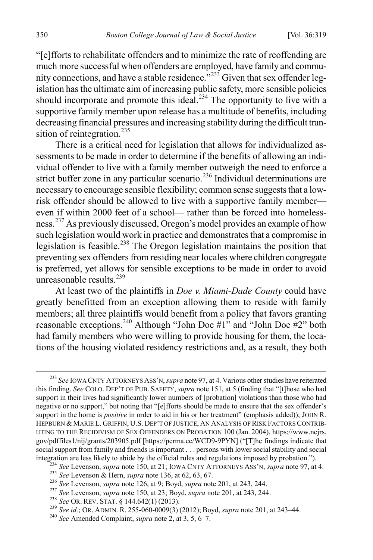"[e]fforts to rehabilitate offenders and to minimize the rate of reoffending are much more successful when offenders are employed, have family and community connections, and have a stable residence.<sup> $233$ </sup> Given that sex offender legislation has the ultimate aim of increasing public safety, more sensible policies should incorporate and promote this ideal.<sup>[234](#page-32-1)</sup> The opportunity to live with a supportive family member upon release has a multitude of benefits, including decreasing financial pressures and increasing stability during the difficult tran-sition of reintegration.<sup>[235](#page-32-2)</sup>

There is a critical need for legislation that allows for individualized assessments to be made in order to determine if the benefits of allowing an individual offender to live with a family member outweigh the need to enforce a strict buffer zone in any particular scenario.<sup>[236](#page-32-3)</sup> Individual determinations are necessary to encourage sensible flexibility; common sense suggests that a lowrisk offender should be allowed to live with a supportive family member even if within 2000 feet of a school— rather than be forced into homeless-ness.<sup>[237](#page-32-4)</sup> As previously discussed, Oregon's model provides an example of how such legislation would work in practice and demonstrates that a compromise in legislation is feasible.<sup>[238](#page-32-5)</sup> The Oregon legislation maintains the position that preventing sex offenders from residing near locales where children congregate is preferred, yet allows for sensible exceptions to be made in order to avoid unreasonable results. [239](#page-32-6)

At least two of the plaintiffs in *Doe v. Miami-Dade County* could have greatly benefitted from an exception allowing them to reside with family members; all three plaintiffs would benefit from a policy that favors granting reasonable exceptions.<sup>240</sup> Although "John Doe #1" and "John Doe #2" both had family members who were willing to provide housing for them, the locations of the housing violated residency restrictions and, as a result, they both

<span id="page-32-0"></span> <sup>233</sup> *See* IOWA CNTY ATTORNEYS ASS'N, *supra* note 97, at 4. Various other studies have reiterated this finding. *See* COLO. DEP'T OF PUB. SAFETY, *supra* note 151, at 5 (finding that "[t]hose who had support in their lives had significantly lower numbers of [probation] violations than those who had negative or no support," but noting that "[e]fforts should be made to ensure that the sex offender's support in the home is *positive* in order to aid in his or her treatment" (emphasis added)); JOHN R. HEPBURN & MARIE L. GRIFFIN, U.S. DEP'T OF JUSTICE, AN ANALYSIS OF RISK FACTORS CONTRIB-UTING TO THE RECIDIVISM OF SEX OFFENDERS ON PROBATION 100 (Jan. 2004), https://www.ncjrs. gov/pdffiles1/nij/grants/203905.pdf [https://perma.cc/WCD9-9PYN] ("[T]he findings indicate that social support from family and friends is important . . . persons with lower social stability and social integration are less likely to abide by the official rules and regulations imposed by probation.").

<span id="page-32-2"></span><span id="page-32-1"></span><sup>&</sup>lt;sup>234</sup> See Levenson, *supra* note 150, at 21; IOWA CNTY ATTORNEYS ASS'N, *supra* note 97, at 4.<br><sup>235</sup> See Levenson & Hern, *supra* note 136, at 62, 63, 67.<br><sup>236</sup> See Levenson, *supra* note 126, at 9; Boyd, *supra* note 201

<span id="page-32-3"></span>

<span id="page-32-5"></span><span id="page-32-4"></span>

<span id="page-32-6"></span>

<span id="page-32-7"></span>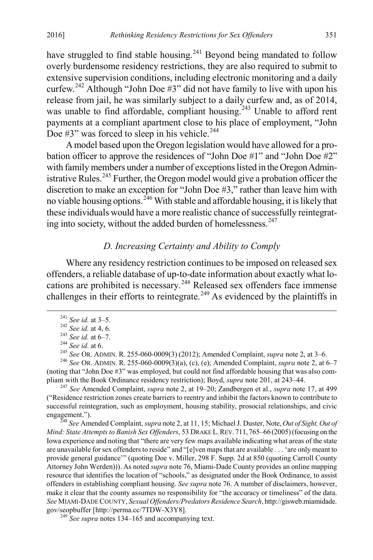have struggled to find stable housing.<sup>[241](#page-33-0)</sup> Beyond being mandated to follow overly burdensome residency restrictions, they are also required to submit to extensive supervision conditions, including electronic monitoring and a daily curfew.<sup>[242](#page-33-1)</sup> Although "John Doe  $#3$ " did not have family to live with upon his release from jail, he was similarly subject to a daily curfew and, as of 2014, was unable to find affordable, compliant housing.<sup>[243](#page-33-2)</sup> Unable to afford rent payments at a compliant apartment close to his place of employment, "John Doe  $#3"$  was forced to sleep in his vehicle.<sup>[244](#page-33-3)</sup>

A model based upon the Oregon legislation would have allowed for a probation officer to approve the residences of "John Doe #1" and "John Doe #2" with family members under a number of exceptions listed in the Oregon Admin-istrative Rules.<sup>[245](#page-33-4)</sup> Further, the Oregon model would give a probation officer the discretion to make an exception for "John Doe #3," rather than leave him with no viable housing options.<sup>[246](#page-33-5)</sup> With stable and affordable housing, it is likely that these individuals would have a more realistic chance of successfully reintegrat-ing into society, without the added burden of homelessness.<sup>[247](#page-33-6)</sup>

#### *D. Increasing Certainty and Ability to Comply*

Where any residency restriction continues to be imposed on released sex offenders, a reliable database of up-to-date information about exactly what locations are prohibited is necessary. [248](#page-33-7) Released sex offenders face immense challenges in their efforts to reintegrate.<sup>[249](#page-33-8)</sup> As evidenced by the plaintiffs in

<span id="page-33-0"></span><sup>241</sup> See id. at 3–5.<br>
<sup>242</sup> See id. at 4, 6.<br>
<sup>242</sup> See id. at 4, 6.<br>
<sup>243</sup> See id. at 6–7.<br>
<sup>244</sup> See id. at 6.<br>
<sup>245</sup> See OR. ADMIN. R. 255-060-0009(3) (2012); Amended Complaint, *supra* note 2, at 3–6.<br>
<sup>246</sup> See OR.

<span id="page-33-5"></span><span id="page-33-4"></span><span id="page-33-3"></span><span id="page-33-2"></span><span id="page-33-1"></span>(noting that "John Doe #3" was employed, but could not find affordable housing that was also compliant with the Book Ordinance residency restriction); Boyd, *supra* note 201, at 243–44. <sup>247</sup> *See* Amended Complaint, *supra* note 2, at 19–20; Zandbergen et al., *supra* note 17, at 499

<span id="page-33-6"></span>("Residence restriction zones create barriers to reentry and inhibit the factors known to contribute to successful reintegration, such as employment, housing stability, prosocial relationships, and civic engagement."). <sup>248</sup> *See* Amended Complaint, *supra* note 2, at 11, 15; Michael J. Duster, Note, *Out of Sight, Out of* 

<span id="page-33-7"></span>*Mind: State Attempts to Banish Sex Offenders*, 53 DRAKE L.REV. 711, 765–66 (2005)(focusing on the Iowa experience and noting that "there are very few maps available indicating what areas of the state are unavailable for sex offenders to reside" and "[e]ven maps that are available . . . 'are only meant to provide general guidance'" (quoting Doe v. Miller, 298 F. Supp. 2d at 850 (quoting Carroll County Attorney John Werden))). As noted *supra* note 76, Miami-Dade County provides an online mapping resource that identifies the location of "schools," as designated under the Book Ordinance, to assist offenders in establishing compliant housing. *See supra* note 76. A number of disclaimers, however, make it clear that the county assumes no responsibility for "the accuracy or timeliness" of the data. *See* MIAMI-DADE COUNTY, *Sexual Offenders/Predators Residence Search*, http://gisweb.miamidade. gov/seopbuffer [http://perma.cc/7TDW-X3Y8]. <sup>249</sup> *See supra* notes 134–165 and accompanying text.

<span id="page-33-8"></span>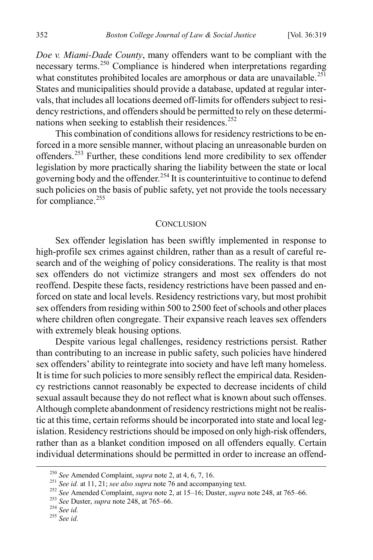*Doe v. Miami-Dade County*, many offenders want to be compliant with the necessary terms.<sup>[250](#page-34-0)</sup> Compliance is hindered when interpretations regarding what constitutes prohibited locales are amorphous or data are unavailable.<sup>[251](#page-34-1)</sup> States and municipalities should provide a database, updated at regular intervals, that includes all locations deemed off-limits for offenders subject to residency restrictions, and offenders should be permitted to rely on these determi-nations when seeking to establish their residences.<sup>[252](#page-34-2)</sup>

This combination of conditions allows for residency restrictions to be enforced in a more sensible manner, without placing an unreasonable burden on offenders.[253](#page-34-3) Further, these conditions lend more credibility to sex offender legislation by more practically sharing the liability between the state or local governing body and the offender.<sup>[254](#page-34-4)</sup> It is counterintuitive to continue to defend such policies on the basis of public safety, yet not provide the tools necessary for compliance.<sup>[255](#page-34-5)</sup>

#### **CONCLUSION**

Sex offender legislation has been swiftly implemented in response to high-profile sex crimes against children, rather than as a result of careful research and of the weighing of policy considerations. The reality is that most sex offenders do not victimize strangers and most sex offenders do not reoffend. Despite these facts, residency restrictions have been passed and enforced on state and local levels. Residency restrictions vary, but most prohibit sex offenders from residing within 500 to 2500 feet of schools and other places where children often congregate. Their expansive reach leaves sex offenders with extremely bleak housing options.

Despite various legal challenges, residency restrictions persist. Rather than contributing to an increase in public safety, such policies have hindered sex offenders' ability to reintegrate into society and have left many homeless. It is time for such policies to more sensibly reflect the empirical data. Residency restrictions cannot reasonably be expected to decrease incidents of child sexual assault because they do not reflect what is known about such offenses. Although complete abandonment of residency restrictions might not be realistic at this time, certain reforms should be incorporated into state and local legislation. Residency restrictions should be imposed on only high-risk offenders, rather than as a blanket condition imposed on all offenders equally. Certain individual determinations should be permitted in order to increase an offend-

<span id="page-34-2"></span><span id="page-34-1"></span>

<span id="page-34-0"></span><sup>&</sup>lt;sup>250</sup> See Amended Complaint, *supra* note 2, at 4, 6, 7, 16.<br><sup>251</sup> See id. at 11, 21; *see also supra* note 76 and accompanying text.<br><sup>252</sup> See Amended Complaint, *supra* note 2, at 15–16; Duster, *supra* note 248, at 765

<span id="page-34-3"></span>

<span id="page-34-5"></span><span id="page-34-4"></span>